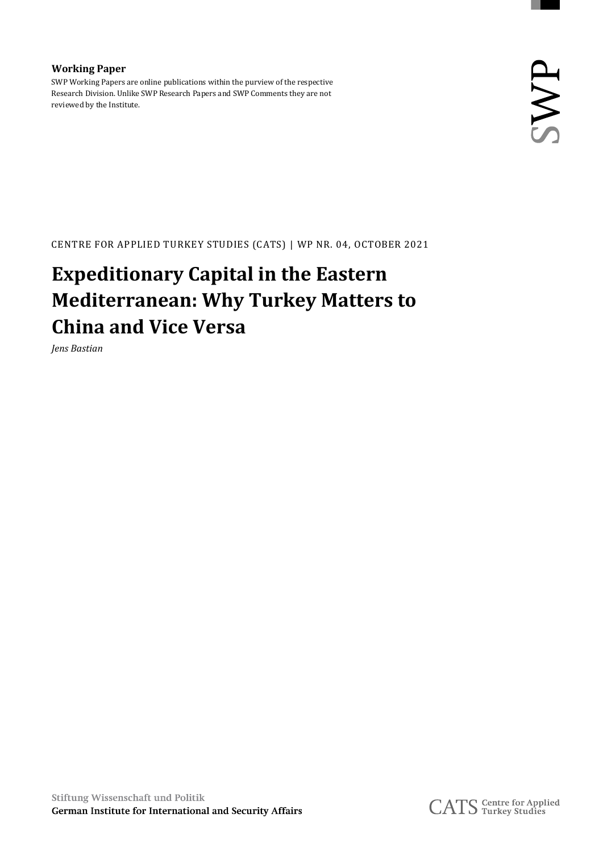**Working Paper** SWP Working Papers are online publications within the purview of the respective Research Division. Unlike SWP Research Papers and SWP Comments they are not reviewed by the Institute.

CENTRE FOR APPLIED TURKEY STUDIES (CATS) | WP NR. 04, OCTOBER 2021

#### **Expeditionary Capital in the Eastern Mediterranean: Why Turkey Matters to China and Vice Versa**

*Jens Bastian*

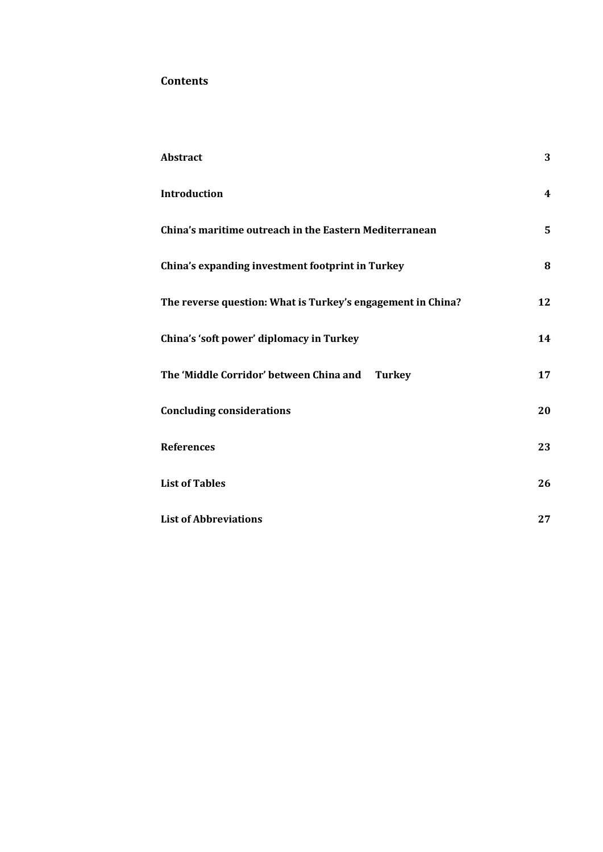#### **Contents**

| <b>Abstract</b>                                             | 3                       |
|-------------------------------------------------------------|-------------------------|
| <b>Introduction</b>                                         | $\overline{\mathbf{4}}$ |
| China's maritime outreach in the Eastern Mediterranean      | 5                       |
| China's expanding investment footprint in Turkey            | 8                       |
| The reverse question: What is Turkey's engagement in China? | 12                      |
| China's 'soft power' diplomacy in Turkey                    | 14                      |
| The 'Middle Corridor' between China and Turkey              | 17                      |
| <b>Concluding considerations</b>                            | 20                      |
| <b>References</b>                                           | 23                      |
| <b>List of Tables</b>                                       | 26                      |
| <b>List of Abbreviations</b>                                | 27                      |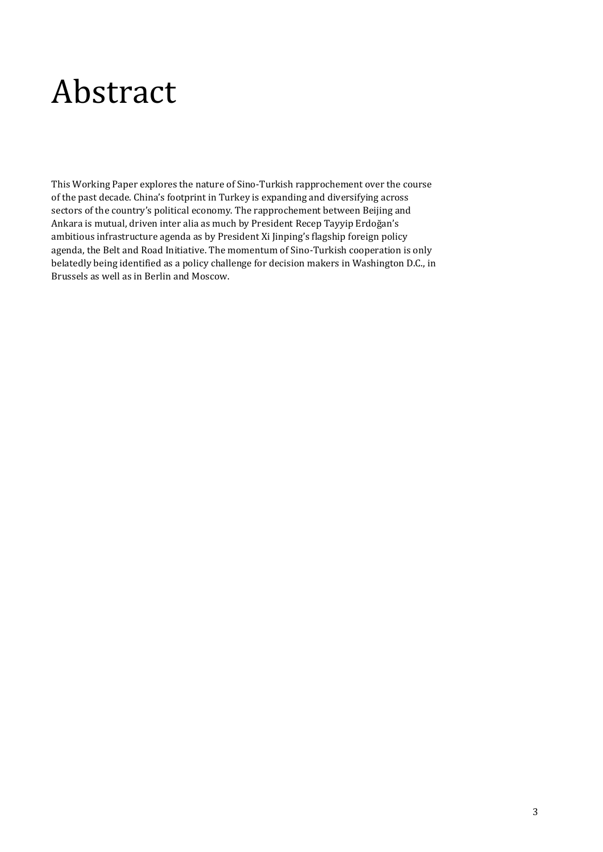### <span id="page-2-0"></span>Abstract

This Working Paper explores the nature of Sino-Turkish rapprochement over the course of the past decade. China's footprint in Turkey is expanding and diversifying across sectors of the country's political economy. The rapprochement between Beijing and Ankara is mutual, driven inter alia as much by President Recep Tayyip Erdoğan's ambitious infrastructure agenda as by President Xi Jinping's flagship foreign policy agenda, the Belt and Road Initiative. The momentum of Sino-Turkish cooperation is only belatedly being identified as a policy challenge for decision makers in Washington D.C., in Brussels as well as in Berlin and Moscow.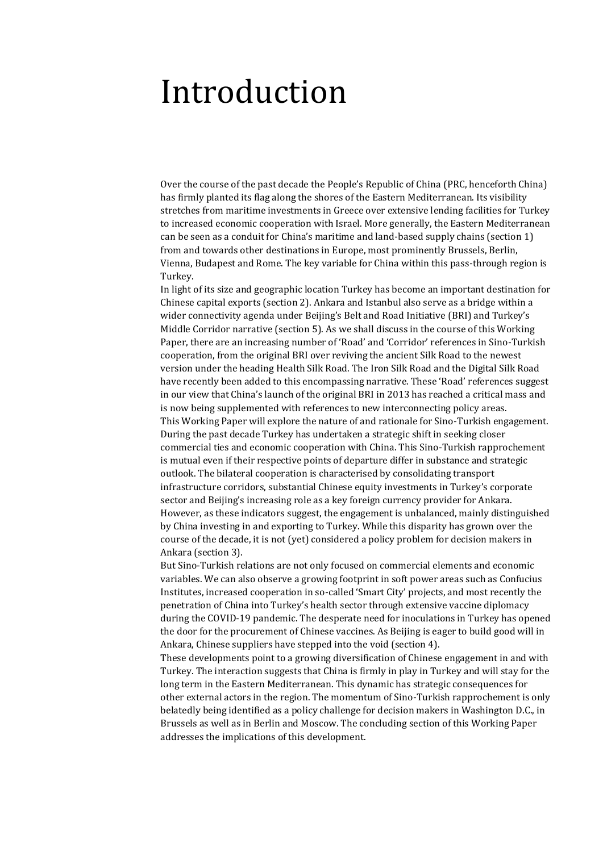#### <span id="page-3-0"></span>Introduction

Over the course of the past decade the People's Republic of China (PRC, henceforth China) has firmly planted its flag along the shores of the Eastern Mediterranean. Its visibility stretches from maritime investments in Greece over extensive lending facilities for Turkey to increased economic cooperation with Israel. More generally, the Eastern Mediterranean can be seen as a conduit for China's maritime and land-based supply chains (section 1) from and towards other destinations in Europe, most prominently Brussels, Berlin, Vienna, Budapest and Rome. The key variable for China within this pass-through region is Turkey.

In light of its size and geographic location Turkey has become an important destination for Chinese capital exports (section 2). Ankara and Istanbul also serve as a bridge within a wider connectivity agenda under Beijing's Belt and Road Initiative (BRI) and Turkey's Middle Corridor narrative (section 5). As we shall discuss in the course of this Working Paper, there are an increasing number of 'Road' and 'Corridor' references in Sino-Turkish cooperation, from the original BRI over reviving the ancient Silk Road to the newest version under the heading Health Silk Road. The Iron Silk Road and the Digital Silk Road have recently been added to this encompassing narrative. These 'Road' references suggest in our view that China's launch of the original BRI in 2013 has reached a critical mass and is now being supplemented with references to new interconnecting policy areas. This Working Paper will explore the nature of and rationale for Sino-Turkish engagement. During the past decade Turkey has undertaken a strategic shift in seeking closer commercial ties and economic cooperation with China. This Sino-Turkish rapprochement is mutual even if their respective points of departure differ in substance and strategic outlook. The bilateral cooperation is characterised by consolidating transport infrastructure corridors, substantial Chinese equity investments in Turkey's corporate sector and Beijing's increasing role as a key foreign currency provider for Ankara. However, as these indicators suggest, the engagement is unbalanced, mainly distinguished by China investing in and exporting to Turkey. While this disparity has grown over the course of the decade, it is not (yet) considered a policy problem for decision makers in Ankara (section 3).

But Sino-Turkish relations are not only focused on commercial elements and economic variables. We can also observe a growing footprint in soft power areas such as Confucius Institutes, increased cooperation in so-called 'Smart City' projects, and most recently the penetration of China into Turkey's health sector through extensive vaccine diplomacy during the COVID-19 pandemic. The desperate need for inoculations in Turkey has opened the door for the procurement of Chinese vaccines. As Beijing is eager to build good will in Ankara, Chinese suppliers have stepped into the void (section 4).

These developments point to a growing diversification of Chinese engagement in and with Turkey. The interaction suggests that China is firmly in play in Turkey and will stay for the long term in the Eastern Mediterranean. This dynamic has strategic consequences for other external actors in the region. The momentum of Sino-Turkish rapprochement is only belatedly being identified as a policy challenge for decision makers in Washington D.C., in Brussels as well as in Berlin and Moscow. The concluding section of this Working Paper addresses the implications of this development.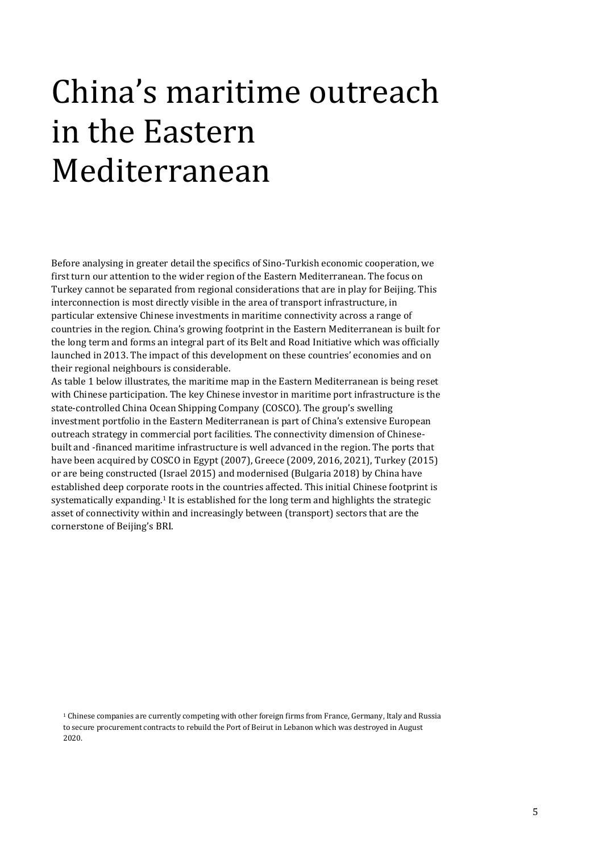# <span id="page-4-0"></span>China's maritime outreach in the Eastern Mediterranean

Before analysing in greater detail the specifics of Sino-Turkish economic cooperation, we first turn our attention to the wider region of the Eastern Mediterranean. The focus on Turkey cannot be separated from regional considerations that are in play for Beijing. This interconnection is most directly visible in the area of transport infrastructure, in particular extensive Chinese investments in maritime connectivity across a range of countries in the region. China's growing footprint in the Eastern Mediterranean is built for the long term and forms an integral part of its Belt and Road Initiative which was officially launched in 2013. The impact of this development on these countries' economies and on their regional neighbours is considerable.

As table 1 below illustrates, the maritime map in the Eastern Mediterranean is being reset with Chinese participation. The key Chinese investor in maritime port infrastructure is the state-controlled China Ocean Shipping Company (COSCO). The group's swelling investment portfolio in the Eastern Mediterranean is part of China's extensive European outreach strategy in commercial port facilities. The connectivity dimension of Chinesebuilt and -financed maritime infrastructure is well advanced in the region. The ports that have been acquired by COSCO in Egypt (2007), Greece (2009, 2016, 2021), Turkey (2015) or are being constructed (Israel 2015) and modernised (Bulgaria 2018) by China have established deep corporate roots in the countries affected. This initial Chinese footprint is systematically expanding.<sup>1</sup> It is established for the long term and highlights the strategic asset of connectivity within and increasingly between (transport) sectors that are the cornerstone of Beijing's BRI.

<sup>1</sup> Chinese companies are currently competing with other foreign firms from France, Germany, Italy and Russia to secure procurement contracts to rebuild the Port of Beirut in Lebanon which was destroyed in August 2020.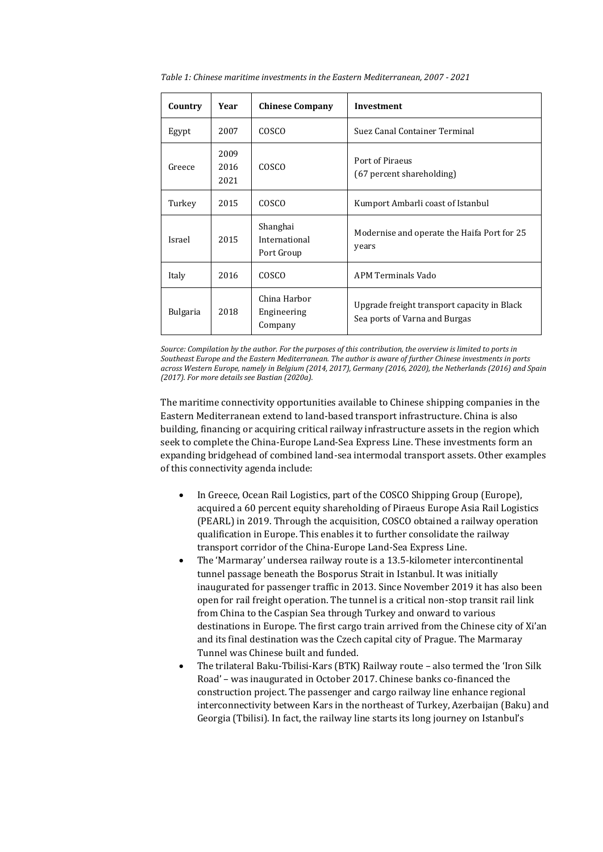| Country         | Year                 | <b>Chinese Company</b>                  | <b>Investment</b>                                                            |
|-----------------|----------------------|-----------------------------------------|------------------------------------------------------------------------------|
| Egypt           | 2007                 | COSCO                                   | Suez Canal Container Terminal                                                |
| Greece          | 2009<br>2016<br>2021 | COSCO                                   | Port of Piraeus<br>(67 percent shareholding)                                 |
| Turkey          | 2015                 | COSCO                                   | Kumport Ambarli coast of Istanbul                                            |
| Israel          | 2015                 | Shanghai<br>International<br>Port Group | Modernise and operate the Haifa Port for 25<br>years                         |
| Italy           | 2016                 | COSCO                                   | APM Terminals Vado                                                           |
| <b>Bulgaria</b> | 2018                 | China Harbor<br>Engineering<br>Company  | Upgrade freight transport capacity in Black<br>Sea ports of Varna and Burgas |

<span id="page-5-0"></span>*Table 1: Chinese maritime investments in the Eastern Mediterranean, 2007 - 2021*

*Source: Compilation by the author. For the purposes of this contribution, the overview is limited to ports in Southeast Europe and the Eastern Mediterranean. The author is aware of further Chinese investments in ports across Western Europe, namely in Belgium (2014, 2017), Germany (2016, 2020), the Netherlands (2016) and Spain (2017). For more details see Bastian (2020a).*

The maritime connectivity opportunities available to Chinese shipping companies in the Eastern Mediterranean extend to land-based transport infrastructure. China is also building, financing or acquiring critical railway infrastructure assets in the region which seek to complete the China-Europe Land-Sea Express Line. These investments form an expanding bridgehead of combined land-sea intermodal transport assets. Other examples of this connectivity agenda include:

- In Greece, Ocean Rail Logistics, part of the COSCO Shipping Group (Europe), acquired a 60 percent equity shareholding of Piraeus Europe Asia Rail Logistics (PEARL) in 2019. Through the acquisition, COSCO obtained a railway operation qualification in Europe. This enables it to further consolidate the railway transport corridor of the China-Europe Land-Sea Express Line.
- The 'Marmaray' undersea railway route is a 13.5-kilometer intercontinental tunnel passage beneath the Bosporus Strait in Istanbul. It was initially inaugurated for passenger traffic in 2013. Since November 2019 it has also been open for rail freight operation. The tunnel is a critical non-stop transit rail link from China to the Caspian Sea through Turkey and onward to various destinations in Europe. The first cargo train arrived from the Chinese city of Xi'an and its final destination was the Czech capital city of Prague. The Marmaray Tunnel was Chinese built and funded.
- The trilateral Baku-Tbilisi-Kars (BTK) Railway route also termed the 'Iron Silk Road' – was inaugurated in October 2017. Chinese banks co-financed the construction project. The passenger and cargo railway line enhance regional interconnectivity between Kars in the northeast of Turkey, Azerbaijan (Baku) and Georgia (Tbilisi). In fact, the railway line starts its long journey on Istanbul's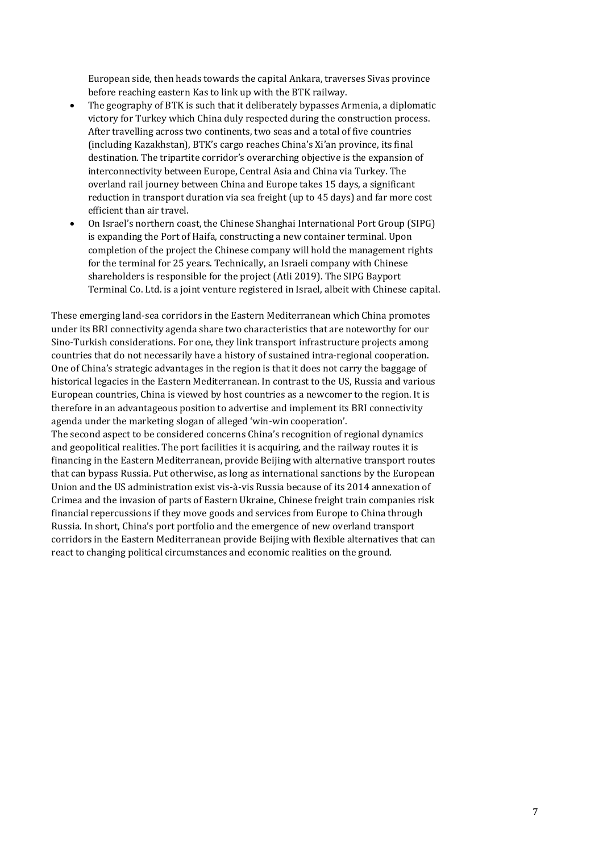European side, then heads towards the capital Ankara, traverses Sivas province before reaching eastern Kas to link up with the BTK railway.

- The geography of BTK is such that it deliberately bypasses Armenia, a diplomatic victory for Turkey which China duly respected during the construction process. After travelling across two continents, two seas and a total of five countries (including Kazakhstan), BTK's cargo reaches China's Xi'an province, its final destination. The tripartite corridor's overarching objective is the expansion of interconnectivity between Europe, Central Asia and China via Turkey. The overland rail journey between China and Europe takes 15 days, a significant reduction in transport duration via sea freight (up to 45 days) and far more cost efficient than air travel.
- On Israel's northern coast, the Chinese Shanghai International Port Group (SIPG) is expanding the Port of Haifa, constructing a new container terminal. Upon completion of the project the Chinese company will hold the management rights for the terminal for 25 years. Technically, an Israeli company with Chinese shareholders is responsible for the project (Atli 2019). The SIPG Bayport Terminal Co. Ltd. is a joint venture registered in Israel, albeit with Chinese capital.

These emerging land-sea corridors in the Eastern Mediterranean which China promotes under its BRI connectivity agenda share two characteristics that are noteworthy for our Sino-Turkish considerations. For one, they link transport infrastructure projects among countries that do not necessarily have a history of sustained intra-regional cooperation. One of China's strategic advantages in the region is that it does not carry the baggage of historical legacies in the Eastern Mediterranean. In contrast to the US, Russia and various European countries, China is viewed by host countries as a newcomer to the region. It is therefore in an advantageous position to advertise and implement its BRI connectivity agenda under the marketing slogan of alleged 'win-win cooperation'.

The second aspect to be considered concerns China's recognition of regional dynamics and geopolitical realities. The port facilities it is acquiring, and the railway routes it is financing in the Eastern Mediterranean, provide Beijing with alternative transport routes that can bypass Russia. Put otherwise, as long as international sanctions by the European Union and the US administration exist vis-à-vis Russia because of its 2014 annexation of Crimea and the invasion of parts of Eastern Ukraine, Chinese freight train companies risk financial repercussions if they move goods and services from Europe to China through Russia. In short, China's port portfolio and the emergence of new overland transport corridors in the Eastern Mediterranean provide Beijing with flexible alternatives that can react to changing political circumstances and economic realities on the ground.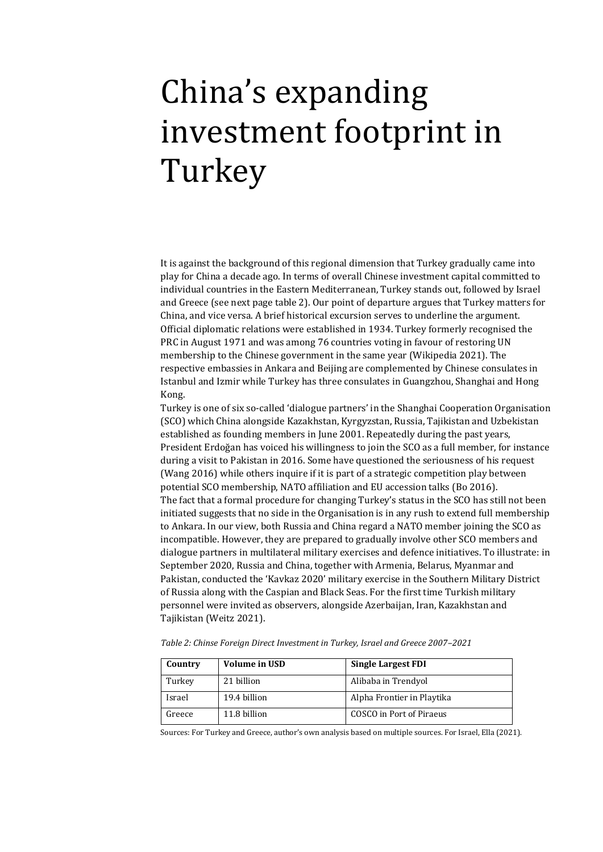# <span id="page-7-0"></span>China's expanding investment footprint in Turkey

It is against the background of this regional dimension that Turkey gradually came into play for China a decade ago. In terms of overall Chinese investment capital committed to individual countries in the Eastern Mediterranean, Turkey stands out, followed by Israel and Greece (see next page table 2). Our point of departure argues that Turkey matters for China, and vice versa. A brief historical excursion serves to underline the argument. Official diplomatic relations were established in 1934. Turkey formerly recognised the PRC in August 1971 and was among 76 countries voting in favour of restoring UN membership to the Chinese government in the same year (Wikipedia 2021). The respective embassies in Ankara and Beijing are complemented by Chinese consulates in Istanbul and Izmir while Turkey has three consulates in Guangzhou, Shanghai and Hong Kong.

Turkey is one of six so-called 'dialogue partners' in the Shanghai Cooperation Organisation (SCO) which China alongside Kazakhstan, Kyrgyzstan, Russia, Tajikistan and Uzbekistan established as founding members in June 2001. Repeatedly during the past years, President Erdoğan has voiced his willingness to join the SCO as a full member, for instance during a visit to Pakistan in 2016. Some have questioned the seriousness of his request (Wang 2016) while others inquire if it is part of a strategic competition play between potential SCO membership, NATO affiliation and EU accession talks (Bo 2016). The fact that a formal procedure for changing Turkey's status in the SCO has still not been initiated suggests that no side in the Organisation is in any rush to extend full membership to Ankara. In our view, both Russia and China regard a NATO member joining the SCO as incompatible. However, they are prepared to gradually involve other SCO members and dialogue partners in multilateral military exercises and defence initiatives. To illustrate: in September 2020, Russia and China, together with Armenia, Belarus, Myanmar and Pakistan, conducted the 'Kavkaz 2020' military exercise in the Southern Military District of Russia along with the Caspian and Black Seas. For the first time Turkish military personnel were invited as observers, alongside Azerbaijan, Iran, Kazakhstan and Tajikistan (Weitz 2021).

| Country | <b>Volume in USD</b> | <b>Single Largest FDI</b>  |
|---------|----------------------|----------------------------|
| Turkey  | 21 billion           | Alibaba in Trendyol        |
| Israel  | 19.4 billion         | Alpha Frontier in Playtika |
| Greece  | 11.8 billion         | COSCO in Port of Piraeus   |

<span id="page-7-1"></span>*Table 2: Chinse Foreign Direct Investment in Turkey, Israel and Greece 2007–2021*

Sources: For Turkey and Greece, author's own analysis based on multiple sources. For Israel, Ella (2021).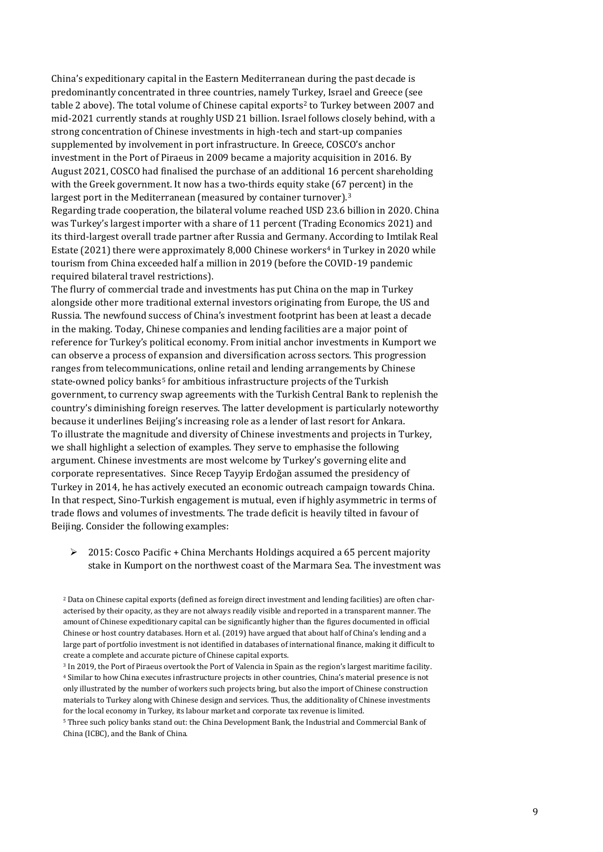China's expeditionary capital in the Eastern Mediterranean during the past decade is predominantly concentrated in three countries, namely Turkey, Israel and Greece (see table 2 above). The total volume of Chinese capital exports<sup>2</sup> to Turkey between 2007 and mid-2021 currently stands at roughly USD 21 billion. Israel follows closely behind, with a strong concentration of Chinese investments in high-tech and start-up companies supplemented by involvement in port infrastructure. In Greece, COSCO's anchor investment in the Port of Piraeus in 2009 became a majority acquisition in 2016. By August 2021, COSCO had finalised the purchase of an additional 16 percent shareholding with the Greek government. It now has a two-thirds equity stake (67 percent) in the largest port in the Mediterranean (measured by container turnover).<sup>3</sup> Regarding trade cooperation, the bilateral volume reached USD 23.6 billion in 2020. China was Turkey's largest importer with a share of 11 percent (Trading Economics 2021) and its third-largest overall trade partner after Russia and Germany. According to Imtilak Real Estate (2021) there were approximately 8,000 Chinese workers<sup>4</sup> in Turkey in 2020 while tourism from China exceeded half a million in 2019 (before the COVID-19 pandemic required bilateral travel restrictions).

The flurry of commercial trade and investments has put China on the map in Turkey alongside other more traditional external investors originating from Europe, the US and Russia. The newfound success of China's investment footprint has been at least a decade in the making. Today, Chinese companies and lending facilities are a major point of reference for Turkey's political economy. From initial anchor investments in Kumport we can observe a process of expansion and diversification across sectors. This progression ranges from telecommunications, online retail and lending arrangements by Chinese state-owned policy banks<sup>5</sup> for ambitious infrastructure projects of the Turkish government, to currency swap agreements with the Turkish Central Bank to replenish the country's diminishing foreign reserves. The latter development is particularly noteworthy because it underlines Beijing's increasing role as a lender of last resort for Ankara. To illustrate the magnitude and diversity of Chinese investments and projects in Turkey, we shall highlight a selection of examples. They serve to emphasise the following argument. Chinese investments are most welcome by Turkey's governing elite and corporate representatives. Since Recep Tayyip Erdoğan assumed the presidency of Turkey in 2014, he has actively executed an economic outreach campaign towards China. In that respect, Sino-Turkish engagement is mutual, even if highly asymmetric in terms of trade flows and volumes of investments. The trade deficit is heavily tilted in favour of Beijing. Consider the following examples:

 $\geq 2015$ : Cosco Pacific + China Merchants Holdings acquired a 65 percent majority stake in Kumport on the northwest coast of the Marmara Sea. The investment was

<sup>5</sup> Three such policy banks stand out: the China Development Bank, the Industrial and Commercial Bank of China (ICBC), and the Bank of China.

<sup>2</sup> Data on Chinese capital exports (defined as foreign direct investment and lending facilities) are often characterised by their opacity, as they are not always readily visible and reported in a transparent manner. The amount of Chinese expeditionary capital can be significantly higher than the figures documented in official Chinese or host country databases. Horn et al. (2019) have argued that about half of China's lending and a large part of portfolio investment is not identified in databases of international finance, making it difficult to create a complete and accurate picture of Chinese capital exports.

<sup>3</sup> In 2019, the Port of Piraeus overtook the Port of Valencia in Spain as the region's largest maritime facility. <sup>4</sup> Similar to how China executes infrastructure projects in other countries, China's material presence is not only illustrated by the number of workers such projects bring, but also the import of Chinese construction materials to Turkey along with Chinese design and services. Thus, the additionality of Chinese investments for the local economy in Turkey, its labour market and corporate tax revenue is limited.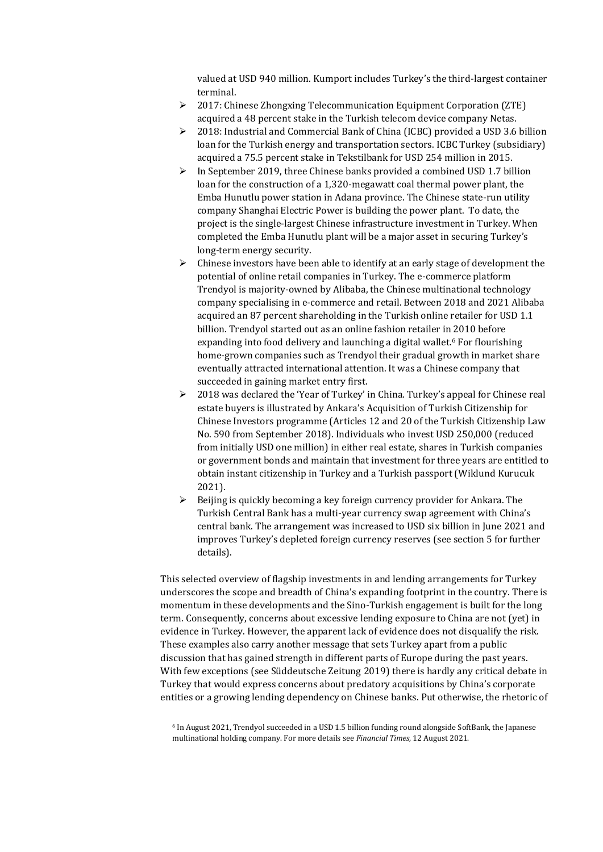valued at USD 940 million. Kumport includes Turkey's the third-largest container terminal.

- 2017: Chinese Zhongxing Telecommunication Equipment Corporation (ZTE) acquired a 48 percent stake in the Turkish telecom device company Netas.
- 2018: Industrial and Commercial Bank of China (ICBC) provided a USD 3.6 billion loan for the Turkish energy and transportation sectors. ICBC Turkey (subsidiary) acquired a 75.5 percent stake in Tekstilbank for USD 254 million in 2015.
- $\triangleright$  In September 2019, three Chinese banks provided a combined USD 1.7 billion loan for the construction of a 1,320-megawatt coal thermal power plant, the Emba Hunutlu power station in Adana province. The Chinese state-run utility company Shanghai Electric Power is building the power plant. To date, the project is the single-largest Chinese infrastructure investment in Turkey. When completed the Emba Hunutlu plant will be a major asset in securing Turkey's long-term energy security.
- $\triangleright$  Chinese investors have been able to identify at an early stage of development the potential of online retail companies in Turkey. The e-commerce platform Trendyol is majority-owned by Alibaba, the Chinese multinational technology company specialising in e-commerce and retail. Between 2018 and 2021 Alibaba acquired an 87 percent shareholding in the Turkish online retailer for USD 1.1 billion. Trendyol started out as an online fashion retailer in 2010 before expanding into food delivery and launching a digital wallet.<sup>6</sup> For flourishing home-grown companies such as Trendyol their gradual growth in market share eventually attracted international attention. It was a Chinese company that succeeded in gaining market entry first.
- $\geq 2018$  was declared the 'Year of Turkey' in China. Turkey's appeal for Chinese real estate buyers is illustrated by Ankara's Acquisition of Turkish Citizenship for Chinese Investors programme (Articles 12 and 20 of the Turkish Citizenship Law No. 590 from September 2018). Individuals who invest USD 250,000 (reduced from initially USD one million) in either real estate, shares in Turkish companies or government bonds and maintain that investment for three years are entitled to obtain instant citizenship in Turkey and a Turkish passport (Wiklund Kurucuk 2021).
- $\triangleright$  Beijing is quickly becoming a key foreign currency provider for Ankara. The Turkish Central Bank has a multi-year currency swap agreement with China's central bank. The arrangement was increased to USD six billion in June 2021 and improves Turkey's depleted foreign currency reserves (see section 5 for further details).

This selected overview of flagship investments in and lending arrangements for Turkey underscores the scope and breadth of China's expanding footprint in the country. There is momentum in these developments and the Sino-Turkish engagement is built for the long term. Consequently, concerns about excessive lending exposure to China are not (yet) in evidence in Turkey. However, the apparent lack of evidence does not disqualify the risk. These examples also carry another message that sets Turkey apart from a public discussion that has gained strength in different parts of Europe during the past years. With few exceptions (see Süddeutsche Zeitung 2019) there is hardly any critical debate in Turkey that would express concerns about predatory acquisitions by China's corporate entities or a growing lending dependency on Chinese banks. Put otherwise, the rhetoric of

 $6$  In August 2021, Trendyol succeeded in a USD 1.5 billion funding round alongside SoftBank, the Japanese multinational holding company. For more details see *Financial Times*, 12 August 2021.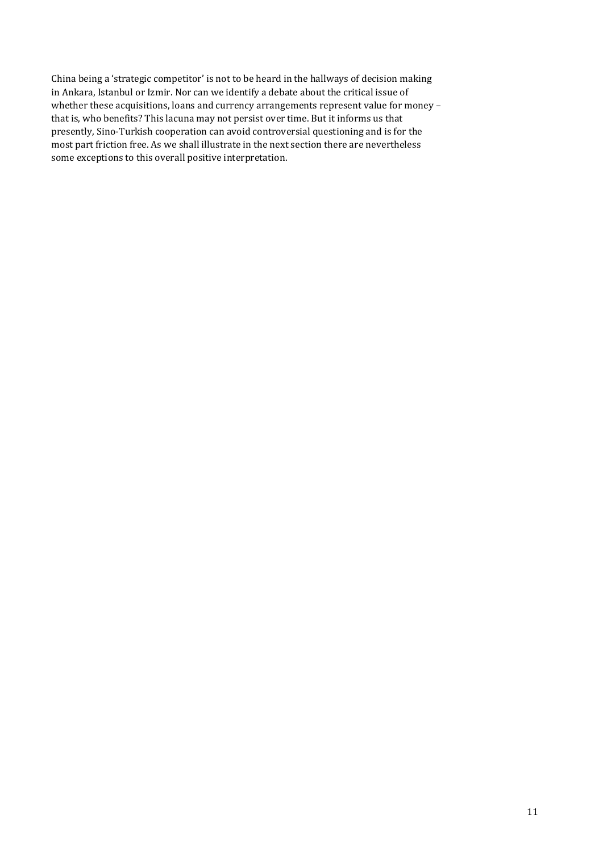China being a 'strategic competitor' is not to be heard in the hallways of decision making in Ankara, Istanbul or Izmir. Nor can we identify a debate about the critical issue of whether these acquisitions, loans and currency arrangements represent value for money – that is, who benefits? This lacuna may not persist over time. But it informs us that presently, Sino-Turkish cooperation can avoid controversial questioning and is for the most part friction free. As we shall illustrate in the next section there are nevertheless some exceptions to this overall positive interpretation.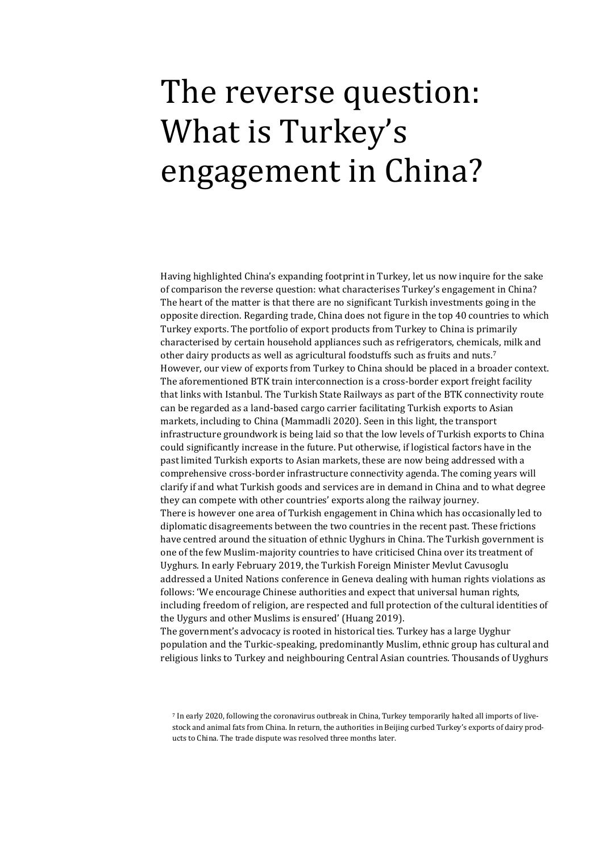### <span id="page-11-0"></span>The reverse question: What is Turkey's engagement in China?

Having highlighted China's expanding footprint in Turkey, let us now inquire for the sake of comparison the reverse question: what characterises Turkey's engagement in China? The heart of the matter is that there are no significant Turkish investments going in the opposite direction. Regarding trade, China does not figure in the top 40 countries to which Turkey exports. The portfolio of export products from Turkey to China is primarily characterised by certain household appliances such as refrigerators, chemicals, milk and other dairy products as well as agricultural foodstuffs such as fruits and nuts.<sup>7</sup> However, our view of exports from Turkey to China should be placed in a broader context. The aforementioned BTK train interconnection is a cross-border export freight facility that links with Istanbul. The Turkish State Railways as part of the BTK connectivity route can be regarded as a land-based cargo carrier facilitating Turkish exports to Asian markets, including to China (Mammadli 2020). Seen in this light, the transport infrastructure groundwork is being laid so that the low levels of Turkish exports to China could significantly increase in the future. Put otherwise, if logistical factors have in the past limited Turkish exports to Asian markets, these are now being addressed with a comprehensive cross-border infrastructure connectivity agenda. The coming years will clarify if and what Turkish goods and services are in demand in China and to what degree they can compete with other countries' exports along the railway journey. There is however one area of Turkish engagement in China which has occasionally led to diplomatic disagreements between the two countries in the recent past. These frictions have centred around the situation of ethnic Uyghurs in China. The Turkish government is one of the few Muslim-majority countries to have criticised China over its treatment of Uyghurs. In early February 2019, the Turkish Foreign Minister Mevlut Cavusoglu addressed a United Nations conference in Geneva dealing with human rights violations as follows: 'We encourage Chinese authorities and expect that universal human rights, including freedom of religion, are respected and full protection of the cultural identities of the Uygurs and other Muslims is ensured' (Huang 2019). The government's advocacy is rooted in historical ties. Turkey has a large Uyghur population and the Turkic-speaking, predominantly Muslim, ethnic group has cultural and

religious links to Turkey and neighbouring Central Asian countries. Thousands of Uyghurs

<sup>7</sup> In early 2020, following the coronavirus outbreak in China, Turkey temporarily halted all imports of livestock and animal fats from China. In return, the authorities in Beijing curbed Turkey's exports of dairy products to China. The trade dispute was resolved three months later.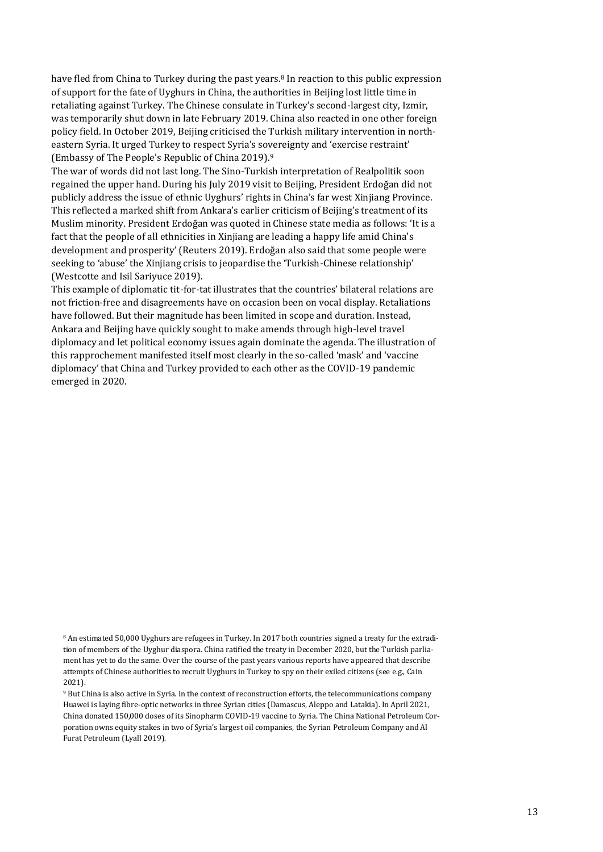have fled from China to Turkey during the past years.<sup>8</sup> In reaction to this public expression of support for the fate of Uyghurs in China, the authorities in Beijing lost little time in retaliating against Turkey. The Chinese consulate in Turkey's second-largest city, Izmir, was temporarily shut down in late February 2019. China also reacted in one other foreign policy field. In October 2019, Beijing criticised the Turkish military intervention in northeastern Syria. It urged Turkey to respect Syria's sovereignty and 'exercise restraint' (Embassy of The People's Republic of China 2019).<sup>9</sup>

The war of words did not last long. The Sino-Turkish interpretation of Realpolitik soon regained the upper hand. During his July 2019 visit to Beijing, President Erdoğan did not publicly address the issue of ethnic Uyghurs' rights in China's far west Xinjiang Province. This reflected a marked shift from Ankara's earlier criticism of Beijing's treatment of its Muslim minority. President Erdoğan was quoted in Chinese state media as follows: 'It is a fact that the people of all ethnicities in Xinjiang are leading a happy life amid China's development and prosperity' (Reuters 2019). Erdoğan also said that some people were seeking to 'abuse' the Xinjiang crisis to jeopardise the 'Turkish-Chinese relationship' (Westcotte and Isil Sariyuce 2019).

This example of diplomatic tit-for-tat illustrates that the countries' bilateral relations are not friction-free and disagreements have on occasion been on vocal display. Retaliations have followed. But their magnitude has been limited in scope and duration. Instead, Ankara and Beijing have quickly sought to make amends through high-level travel diplomacy and let political economy issues again dominate the agenda. The illustration of this rapprochement manifested itself most clearly in the so-called 'mask' and 'vaccine diplomacy' that China and Turkey provided to each other as the COVID-19 pandemic emerged in 2020.

<sup>8</sup> An estimated 50,000 Uyghurs are refugees in Turkey. In 2017 both countries signed a treaty for the extradition of members of the Uyghur diaspora. China ratified the treaty in December 2020, but the Turkish parliament has yet to do the same. Over the course of the past years various reports have appeared that describe attempts of Chinese authorities to recruit Uyghurs in Turkey to spy on their exiled citizens (see e.g., Cain 2021).

<sup>9</sup> But China is also active in Syria. In the context of reconstruction efforts, the telecommunications company Huawei is laying fibre-optic networks in three Syrian cities (Damascus, Aleppo and Latakia). In April 2021, China donated 150,000 doses of its Sinopharm COVID-19 vaccine to Syria. The China National Petroleum Corporation owns equity stakes in two of Syria's largest oil companies, the Syrian Petroleum Company and Al Furat Petroleum (Lyall 2019).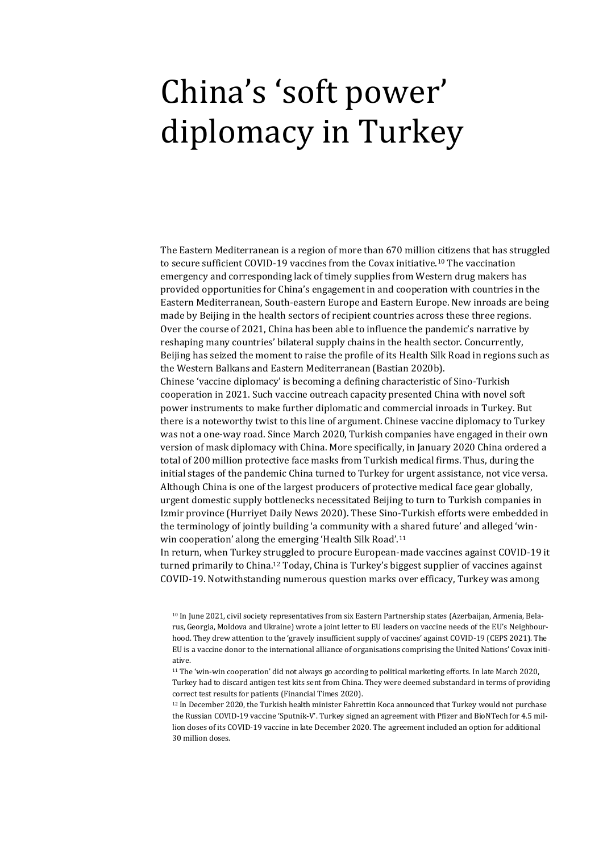### <span id="page-13-0"></span>China's 'soft power' diplomacy in Turkey

The Eastern Mediterranean is a region of more than 670 million citizens that has struggled to secure sufficient COVID-19 vaccines from the Covax initiative.<sup>10</sup> The vaccination emergency and corresponding lack of timely supplies from Western drug makers has provided opportunities for China's engagement in and cooperation with countries in the Eastern Mediterranean, South-eastern Europe and Eastern Europe. New inroads are being made by Beijing in the health sectors of recipient countries across these three regions. Over the course of 2021, China has been able to influence the pandemic's narrative by reshaping many countries' bilateral supply chains in the health sector. Concurrently, Beijing has seized the moment to raise the profile of its Health Silk Road in regions such as the Western Balkans and Eastern Mediterranean (Bastian 2020b). Chinese 'vaccine diplomacy' is becoming a defining characteristic of Sino-Turkish

cooperation in 2021. Such vaccine outreach capacity presented China with novel soft power instruments to make further diplomatic and commercial inroads in Turkey. But there is a noteworthy twist to this line of argument. Chinese vaccine diplomacy to Turkey was not a one-way road. Since March 2020, Turkish companies have engaged in their own version of mask diplomacy with China. More specifically, in January 2020 China ordered a total of 200 million protective face masks from Turkish medical firms. Thus, during the initial stages of the pandemic China turned to Turkey for urgent assistance, not vice versa. Although China is one of the largest producers of protective medical face gear globally, urgent domestic supply bottlenecks necessitated Beijing to turn to Turkish companies in Izmir province (Hurriyet Daily News 2020). These Sino-Turkish efforts were embedded in the terminology of jointly building 'a community with a shared future' and alleged 'winwin cooperation' along the emerging 'Health Silk Road'.<sup>11</sup>

In return, when Turkey struggled to procure European-made vaccines against COVID-19 it turned primarily to China.<sup>12</sup> Today, China is Turkey's biggest supplier of vaccines against COVID-19. Notwithstanding numerous question marks over efficacy, Turkey was among

<sup>10</sup> In June 2021, civil society representatives from six Eastern Partnership states (Azerbaijan, Armenia, Belarus, Georgia, Moldova and Ukraine) wrote a joint letter to EU leaders on vaccine needs of the EU's Neighbourhood. They drew attention to the 'gravely insufficient supply of vaccines' against COVID-19 (CEPS 2021). The EU is a vaccine donor to the international alliance of organisations comprising the United Nations' Covax initiative.

<sup>11</sup> The 'win-win cooperation' did not always go according to political marketing efforts. In late March 2020, Turkey had to discard antigen test kits sent from China. They were deemed substandard in terms of providing correct test results for patients (Financial Times 2020).

<sup>&</sup>lt;sup>12</sup> In December 2020, the Turkish health minister Fahrettin Koca announced that Turkey would not purchase the Russian COVID-19 vaccine 'Sputnik-V'. Turkey signed an agreement with Pfizer and BioNTech for 4.5 million doses of its COVID-19 vaccine in late December 2020. The agreement included an option for additional 30 million doses.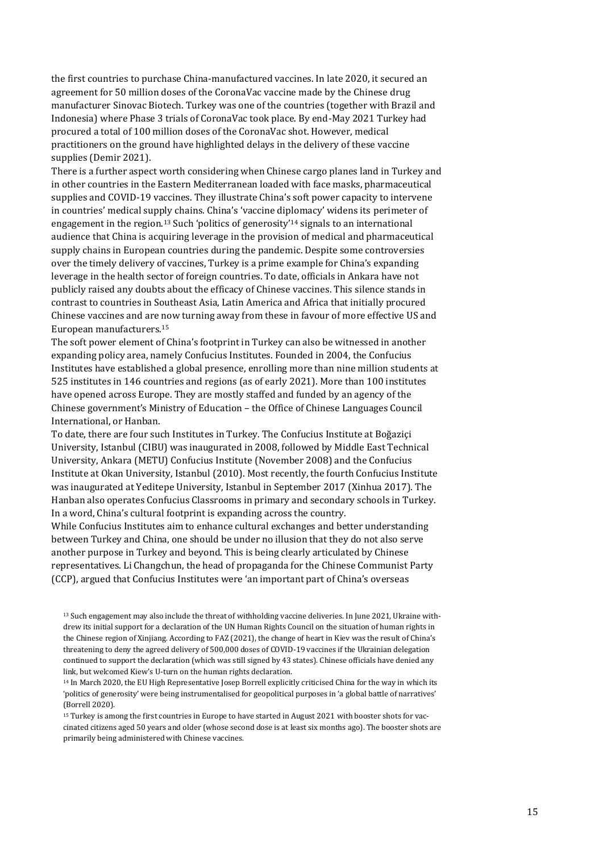the first countries to purchase China-manufactured vaccines. In late 2020, it secured an agreement for 50 million doses of the CoronaVac vaccine made by the Chinese drug manufacturer Sinovac Biotech. Turkey was one of the countries (together with Brazil and Indonesia) where Phase 3 trials of CoronaVac took place. By end-May 2021 Turkey had procured a total of 100 million doses of the CoronaVac shot. However, medical practitioners on the ground have highlighted delays in the delivery of these vaccine supplies (Demir 2021).

There is a further aspect worth considering when Chinese cargo planes land in Turkey and in other countries in the Eastern Mediterranean loaded with face masks, pharmaceutical supplies and COVID-19 vaccines. They illustrate China's soft power capacity to intervene in countries' medical supply chains. China's 'vaccine diplomacy' widens its perimeter of engagement in the region.<sup>13</sup> Such 'politics of generosity'<sup>14</sup> signals to an international audience that China is acquiring leverage in the provision of medical and pharmaceutical supply chains in European countries during the pandemic. Despite some controversies over the timely delivery of vaccines, Turkey is a prime example for China's expanding leverage in the health sector of foreign countries. To date, officials in Ankara have not publicly raised any doubts about the efficacy of Chinese vaccines. This silence stands in contrast to countries in Southeast Asia, Latin America and Africa that initially procured Chinese vaccines and are now turning away from these in favour of more effective US and European manufacturers.<sup>15</sup>

The soft power element of China's footprint in Turkey can also be witnessed in another expanding policy area, namely Confucius Institutes. Founded in 2004, the Confucius Institutes have established a global presence, enrolling more than nine million students at 525 institutes in 146 countries and regions (as of early 2021). More than 100 institutes have opened across Europe. They are mostly staffed and funded by an agency of the Chinese government's Ministry of Education – the Office of Chinese Languages Council International, or Hanban.

To date, there are four such Institutes in Turkey. The Confucius Institute at Boğaziçi University, Istanbul (CIBU) was inaugurated in 2008, followed by Middle East Technical University, Ankara (METU) Confucius Institute (November 2008) and the Confucius Institute at Okan University, Istanbul (2010). Most recently, the fourth Confucius Institute was inaugurated at Yeditepe University, Istanbul in September 2017 (Xinhua 2017). The Hanban also operates Confucius Classrooms in primary and secondary schools in Turkey. In a word, China's cultural footprint is expanding across the country.

While Confucius Institutes aim to enhance cultural exchanges and better understanding between Turkey and China, one should be under no illusion that they do not also serve another purpose in Turkey and beyond. This is being clearly articulated by Chinese representatives. Li Changchun, the head of propaganda for the Chinese Communist Party (CCP), argued that Confucius Institutes were 'an important part of China's overseas

<sup>13</sup> Such engagement may also include the threat of withholding vaccine deliveries. In June 2021, Ukraine withdrew its initial support for a declaration of the UN Human Rights Council on the situation of human rights in the Chinese region of Xinjiang. According to FAZ (2021), the change of heart in Kiev was the result of China's threatening to deny the agreed delivery of 500,000 doses of COVID-19 vaccines if the Ukrainian delegation continued to support the declaration (which was still signed by 43 states). Chinese officials have denied any link, but welcomed Kiew's U-turn on the human rights declaration.

<sup>15</sup> Turkey is among the first countries in Europe to have started in August 2021 with booster shots for vaccinated citizens aged 50 years and older (whose second dose is at least six months ago). The booster shots are primarily being administered with Chinese vaccines.

<sup>14</sup> In March 2020, the EU High Representative Josep Borrell explicitly criticised China for the way in which its 'politics of generosity' were being instrumentalised for geopolitical purposes in 'a global battle of narratives' (Borrell 2020).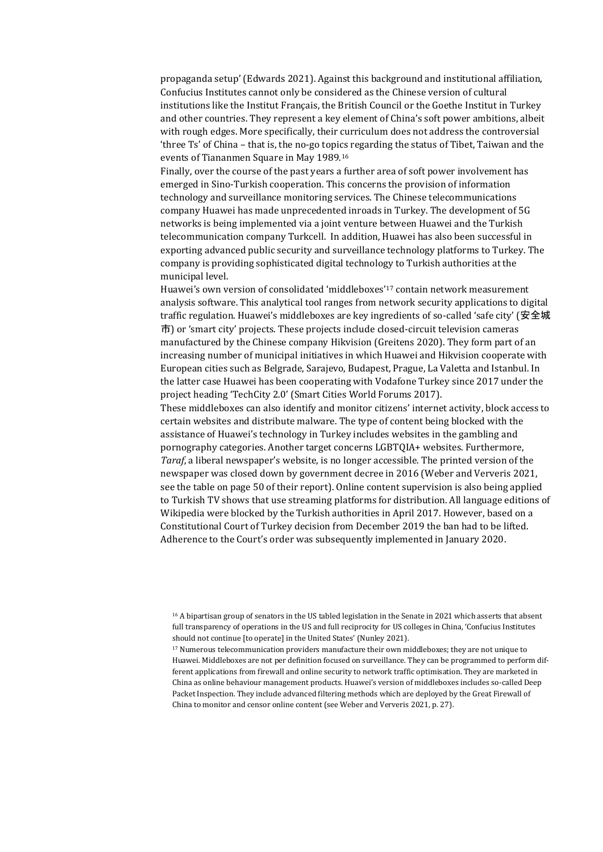propaganda setup' (Edwards 2021). Against this background and institutional affiliation, Confucius Institutes cannot only be considered as the Chinese version of cultural institutions like the Institut Français, the British Council or the Goethe Institut in Turkey and other countries. They represent a key element of China's soft power ambitions, albeit with rough edges. More specifically, their curriculum does not address the controversial 'three Ts' of China – that is, the no-go topics regarding the status of Tibet, Taiwan and the events of Tiananmen Square in May 1989.<sup>16</sup>

Finally, over the course of the past years a further area of soft power involvement has emerged in Sino-Turkish cooperation. This concerns the provision of information technology and surveillance monitoring services. The Chinese telecommunications company Huawei has made unprecedented inroads in Turkey. The development of 5G networks is being implemented via a joint venture between Huawei and the Turkish telecommunication company Turkcell. In addition, Huawei has also been successful in exporting advanced public security and surveillance technology platforms to Turkey. The company is providing sophisticated digital technology to Turkish authorities at the municipal level.

Huawei's own version of consolidated 'middleboxes'<sup>17</sup> contain network measurement analysis software. This analytical tool ranges from network security applications to digital traffic regulation. Huawei's middleboxes are key ingredients of so-called 'safe city' (安全城 市) or 'smart city' projects. These projects include closed-circuit television cameras manufactured by the Chinese company Hikvision (Greitens 2020). They form part of an increasing number of municipal initiatives in which Huawei and Hikvision cooperate with European cities such as Belgrade, Sarajevo, Budapest, Prague, La Valetta and Istanbul. In the latter case Huawei has been cooperating with Vodafone Turkey since 2017 under the project heading 'TechCity 2.0' (Smart Cities World Forums 2017).

These middleboxes can also identify and monitor citizens' internet activity, block access to certain websites and distribute malware. The type of content being blocked with the assistance of Huawei's technology in Turkey includes websites in the gambling and pornography categories. Another target concerns LGBTQIA+ websites. Furthermore, *Taraf*, a liberal newspaper's website, is no longer accessible. The printed version of the newspaper was closed down by government decree in 2016 (Weber and Ververis 2021, see the table on page 50 of their report). Online content supervision is also being applied to Turkish TV shows that use streaming platforms for distribution. All language editions of Wikipedia were blocked by the Turkish authorities in April 2017. However, based on a Constitutional Court of Turkey decision from December 2019 the ban had to be lifted. Adherence to the Court's order was subsequently implemented in January 2020.

<sup>16</sup> A bipartisan group of senators in the US tabled legislation in the Senate in 2021 which asserts that absent full transparency of operations in the US and full reciprocity for US colleges in China, 'Confucius Institutes should not continue [to operate] in the United States' (Nunley 2021).

<sup>17</sup> Numerous telecommunication providers manufacture their own middleboxes; they are not unique to Huawei. Middleboxes are not per definition focused on surveillance. They can be programmed to perform different applications from firewall and online security to network traffic optimisation. They are marketed in China as online behaviour management products. Huawei's version of middleboxes includes so-called Deep Packet Inspection. They include advanced filtering methods which are deployed by the Great Firewall of China to monitor and censor online content (see Weber and Ververis 2021, p. 27).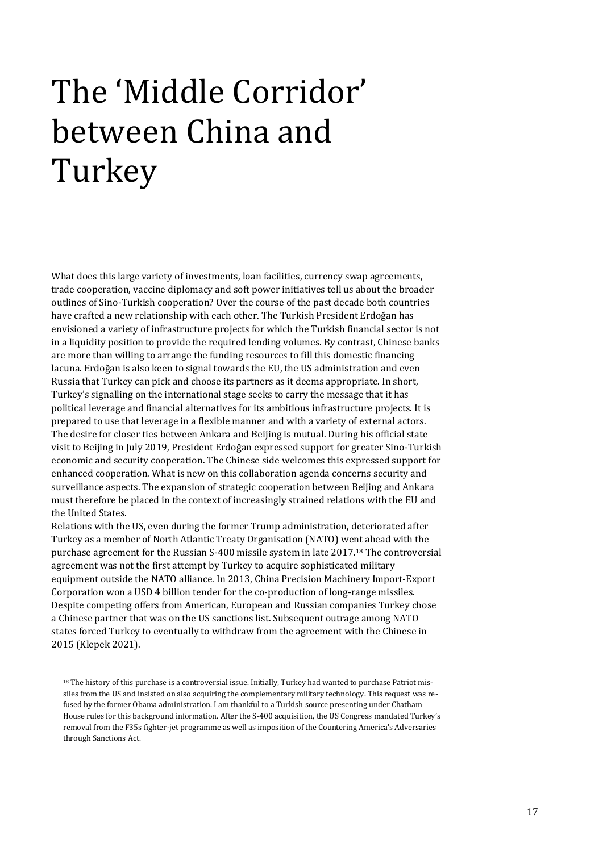# <span id="page-16-0"></span>The 'Middle Corridor' between China and Turkey

What does this large variety of investments, loan facilities, currency swap agreements, trade cooperation, vaccine diplomacy and soft power initiatives tell us about the broader outlines of Sino-Turkish cooperation? Over the course of the past decade both countries have crafted a new relationship with each other. The Turkish President Erdoğan has envisioned a variety of infrastructure projects for which the Turkish financial sector is not in a liquidity position to provide the required lending volumes. By contrast, Chinese banks are more than willing to arrange the funding resources to fill this domestic financing lacuna. Erdoğan is also keen to signal towards the EU, the US administration and even Russia that Turkey can pick and choose its partners as it deems appropriate. In short, Turkey's signalling on the international stage seeks to carry the message that it has political leverage and financial alternatives for its ambitious infrastructure projects. It is prepared to use that leverage in a flexible manner and with a variety of external actors. The desire for closer ties between Ankara and Beijing is mutual. During his official state visit to Beijing in July 2019, President Erdoğan expressed support for greater Sino-Turkish economic and security cooperation. The Chinese side welcomes this expressed support for enhanced cooperation. What is new on this collaboration agenda concerns security and surveillance aspects. The expansion of strategic cooperation between Beijing and Ankara must therefore be placed in the context of increasingly strained relations with the EU and the United States.

Relations with the US, even during the former Trump administration, deteriorated after Turkey as a member of North Atlantic Treaty Organisation (NATO) went ahead with the purchase agreement for the Russian S-400 missile system in late 2017.<sup>18</sup> The controversial agreement was not the first attempt by Turkey to acquire sophisticated military equipment outside the NATO alliance. In 2013, China Precision Machinery Import-Export Corporation won a USD 4 billion tender for the co-production of long-range missiles. Despite competing offers from American, European and Russian companies Turkey chose a Chinese partner that was on the US sanctions list. Subsequent outrage among NATO states forced Turkey to eventually to withdraw from the agreement with the Chinese in 2015 (Klepek 2021).

<sup>&</sup>lt;sup>18</sup> The history of this purchase is a controversial issue. Initially, Turkey had wanted to purchase Patriot missiles from the US and insisted on also acquiring the complementary military technology. This request was refused by the former Obama administration. I am thankful to a Turkish source presenting under Chatham House rules for this background information. After the S-400 acquisition, the US Congress mandated Turkey's removal from the F35s fighter-jet programme as well as imposition of the Countering America's Adversaries through Sanctions Act.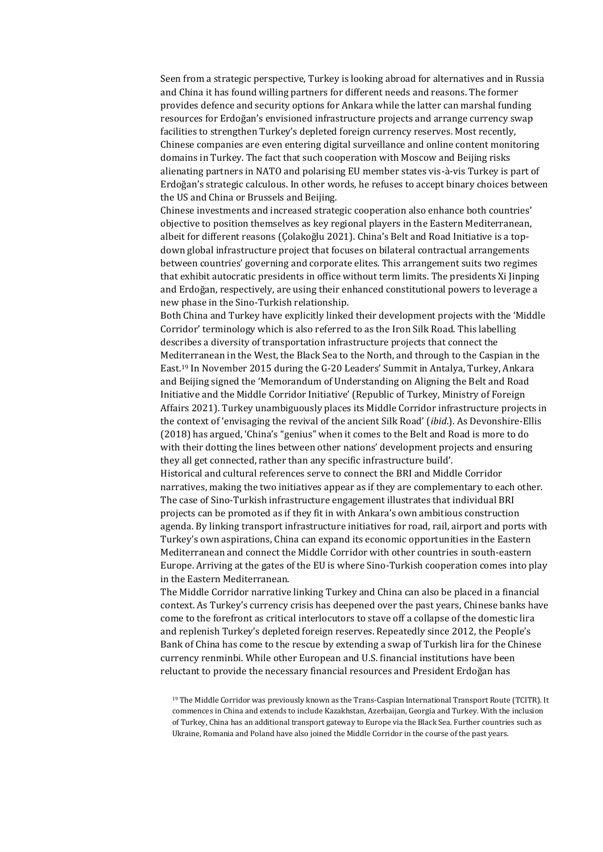Seen from a strategic perspective, Turkey is looking abroad for alternatives and in Russia and China it has found willing partners for different needs and reasons. The former provides defence and security options for Ankara while the latter can marshal funding resources for Erdoğan's envisioned infrastructure projects and arrange currency swap facilities to strengthen Turkey's depleted foreign currency reserves. Most recently, Chinese companies are even entering digital surveillance and online content monitoring domains in Turkey. The fact that such cooperation with Moscow and Beijing risks alienating partners in NATO and polarising EU member states vis-à-vis Turkey is part of Erdoğan's strategic calculous. In other words, he refuses to accept binary choices between the US and China or Brussels and Beijing.

Chinese investments and increased strategic cooperation also enhance both countries' objective to position themselves as key regional players in the Eastern Mediterranean, albeit for different reasons (Çolakoğlu 2021). China's Belt and Road Initiative is a topdown global infrastructure project that focuses on bilateral contractual arrangements between countries' governing and corporate elites. This arrangement suits two regimes that exhibit autocratic presidents in office without term limits. The presidents Xi Jinping and Erdoğan, respectively, are using their enhanced constitutional powers to leverage a new phase in the Sino-Turkish relationship.

Both China and Turkey have explicitly linked their development projects with the 'Middle Corridor' terminology which is also referred to as the Iron Silk Road. This labelling describes a diversity of transportation infrastructure projects that connect the Mediterranean in the West, the Black Sea to the North, and through to the Caspian in the East.<sup>19</sup> In November 2015 during the G-20 Leaders' Summit in Antalya, Turkey, Ankara and Beijing signed the 'Memorandum of Understanding on Aligning the Belt and Road Initiative and the Middle Corridor Initiative' (Republic of Turkey, Ministry of Foreign Affairs 2021). Turkey unambiguously places its Middle Corridor infrastructure projects in the context of 'envisaging the revival of the ancient Silk Road' (*ibid*.). As Devonshire-Ellis (2018) has argued, 'China's "genius" when it comes to the Belt and Road is more to do with their dotting the lines between other nations' development projects and ensuring they all get connected, rather than any specific infrastructure build'.

Historical and cultural references serve to connect the BRI and Middle Corridor narratives, making the two initiatives appear as if they are complementary to each other. The case of Sino-Turkish infrastructure engagement illustrates that individual BRI projects can be promoted as if they fit in with Ankara's own ambitious construction agenda. By linking transport infrastructure initiatives for road, rail, airport and ports with Turkey's own aspirations, China can expand its economic opportunities in the Eastern Mediterranean and connect the Middle Corridor with other countries in south-eastern Europe. Arriving at the gates of the EU is where Sino-Turkish cooperation comes into play in the Eastern Mediterranean.

The Middle Corridor narrative linking Turkey and China can also be placed in a financial context. As Turkey's currency crisis has deepened over the past years, Chinese banks have come to the forefront as critical interlocutors to stave off a collapse of the domestic lira and replenish Turkey's depleted foreign reserves. Repeatedly since 2012, the People's Bank of China has come to the rescue by extending a swap of Turkish lira for the Chinese currency renminbi. While other European and U.S. financial institutions have been reluctant to provide the necessary financial resources and President Erdoğan has

<sup>19</sup> The Middle Corridor was previously known as the Trans-Caspian International Transport Route (TCITR). It commences in China and extends to include Kazakhstan, Azerbaijan, Georgia and Turkey. With the inclusion of Turkey, China has an additional transport gateway to Europe via the Black Sea. Further countries such as Ukraine, Romania and Poland have also joined the Middle Corridor in the course of the past years.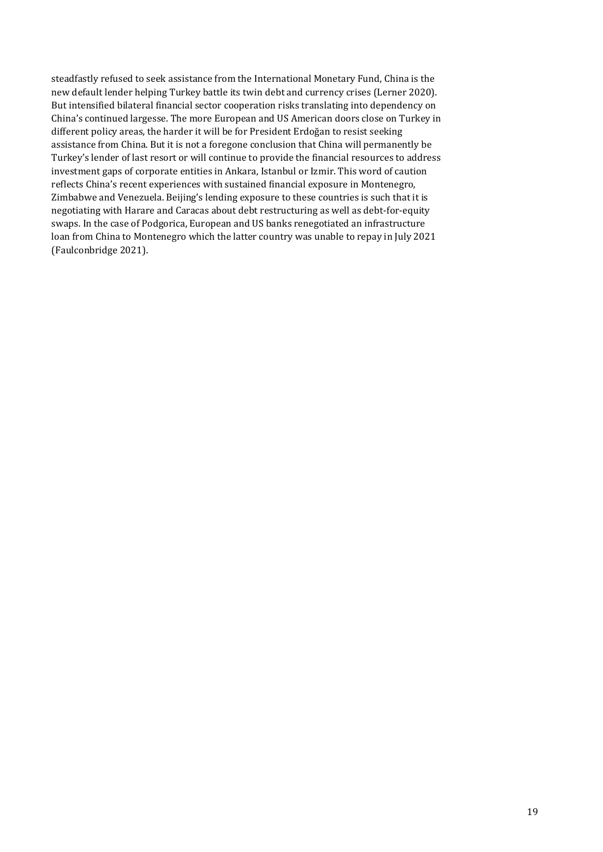steadfastly refused to seek assistance from the International Monetary Fund, China is the new default lender helping Turkey battle its twin debt and currency crises (Lerner 2020). But intensified bilateral financial sector cooperation risks translating into dependency on China's continued largesse. The more European and US American doors close on Turkey in different policy areas, the harder it will be for President Erdoğan to resist seeking assistance from China. But it is not a foregone conclusion that China will permanently be Turkey's lender of last resort or will continue to provide the financial resources to address investment gaps of corporate entities in Ankara, Istanbul or Izmir. This word of caution reflects China's recent experiences with sustained financial exposure in Montenegro, Zimbabwe and Venezuela. Beijing's lending exposure to these countries is such that it is negotiating with Harare and Caracas about debt restructuring as well as debt-for-equity swaps. In the case of Podgorica, European and US banks renegotiated an infrastructure loan from China to Montenegro which the latter country was unable to repay in July 2021 (Faulconbridge 2021).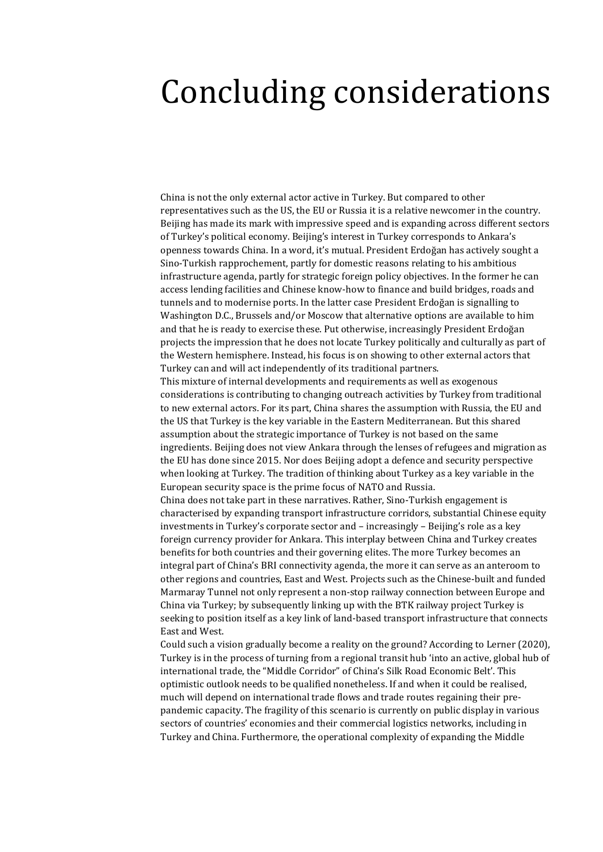#### <span id="page-19-0"></span>Concluding considerations

China is not the only external actor active in Turkey. But compared to other representatives such as the US, the EU or Russia it is a relative newcomer in the country. Beijing has made its mark with impressive speed and is expanding across different sectors of Turkey's political economy. Beijing's interest in Turkey corresponds to Ankara's openness towards China. In a word, it's mutual. President Erdoğan has actively sought a Sino-Turkish rapprochement, partly for domestic reasons relating to his ambitious infrastructure agenda, partly for strategic foreign policy objectives. In the former he can access lending facilities and Chinese know-how to finance and build bridges, roads and tunnels and to modernise ports. In the latter case President Erdoğan is signalling to Washington D.C., Brussels and/or Moscow that alternative options are available to him and that he is ready to exercise these. Put otherwise, increasingly President Erdoğan projects the impression that he does not locate Turkey politically and culturally as part of the Western hemisphere. Instead, his focus is on showing to other external actors that Turkey can and will act independently of its traditional partners.

This mixture of internal developments and requirements as well as exogenous considerations is contributing to changing outreach activities by Turkey from traditional to new external actors. For its part, China shares the assumption with Russia, the EU and the US that Turkey is the key variable in the Eastern Mediterranean. But this shared assumption about the strategic importance of Turkey is not based on the same ingredients. Beijing does not view Ankara through the lenses of refugees and migration as the EU has done since 2015. Nor does Beijing adopt a defence and security perspective when looking at Turkey. The tradition of thinking about Turkey as a key variable in the European security space is the prime focus of NATO and Russia.

China does not take part in these narratives. Rather, Sino-Turkish engagement is characterised by expanding transport infrastructure corridors, substantial Chinese equity investments in Turkey's corporate sector and – increasingly – Beijing's role as a key foreign currency provider for Ankara. This interplay between China and Turkey creates benefits for both countries and their governing elites. The more Turkey becomes an integral part of China's BRI connectivity agenda, the more it can serve as an anteroom to other regions and countries, East and West. Projects such as the Chinese-built and funded Marmaray Tunnel not only represent a non-stop railway connection between Europe and China via Turkey; by subsequently linking up with the BTK railway project Turkey is seeking to position itself as a key link of land-based transport infrastructure that connects East and West.

Could such a vision gradually become a reality on the ground? According to Lerner (2020), Turkey is in the process of turning from a regional transit hub 'into an active, global hub of international trade, the "Middle Corridor" of China's Silk Road Economic Belt'. This optimistic outlook needs to be qualified nonetheless. If and when it could be realised, much will depend on international trade flows and trade routes regaining their prepandemic capacity. The fragility of this scenario is currently on public display in various sectors of countries' economies and their commercial logistics networks, including in Turkey and China. Furthermore, the operational complexity of expanding the Middle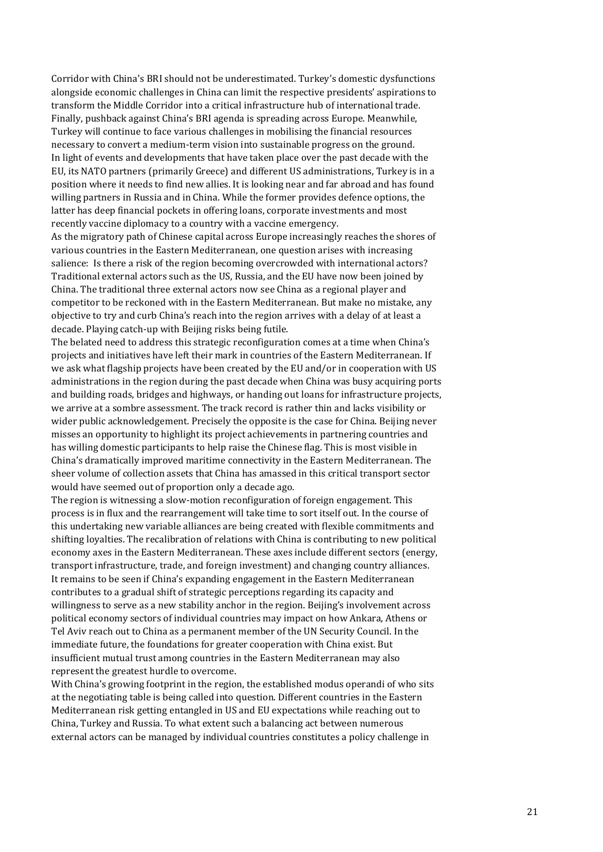Corridor with China's BRI should not be underestimated. Turkey's domestic dysfunctions alongside economic challenges in China can limit the respective presidents' aspirations to transform the Middle Corridor into a critical infrastructure hub of international trade. Finally, pushback against China's BRI agenda is spreading across Europe. Meanwhile, Turkey will continue to face various challenges in mobilising the financial resources necessary to convert a medium-term vision into sustainable progress on the ground. In light of events and developments that have taken place over the past decade with the EU, its NATO partners (primarily Greece) and different US administrations, Turkey is in a position where it needs to find new allies. It is looking near and far abroad and has found willing partners in Russia and in China. While the former provides defence options, the latter has deep financial pockets in offering loans, corporate investments and most recently vaccine diplomacy to a country with a vaccine emergency.

As the migratory path of Chinese capital across Europe increasingly reaches the shores of various countries in the Eastern Mediterranean, one question arises with increasing salience: Is there a risk of the region becoming overcrowded with international actors? Traditional external actors such as the US, Russia, and the EU have now been joined by China. The traditional three external actors now see China as a regional player and competitor to be reckoned with in the Eastern Mediterranean. But make no mistake, any objective to try and curb China's reach into the region arrives with a delay of at least a decade. Playing catch-up with Beijing risks being futile.

The belated need to address this strategic reconfiguration comes at a time when China's projects and initiatives have left their mark in countries of the Eastern Mediterranean. If we ask what flagship projects have been created by the EU and/or in cooperation with US administrations in the region during the past decade when China was busy acquiring ports and building roads, bridges and highways, or handing out loans for infrastructure projects, we arrive at a sombre assessment. The track record is rather thin and lacks visibility or wider public acknowledgement. Precisely the opposite is the case for China. Beijing never misses an opportunity to highlight its project achievements in partnering countries and has willing domestic participants to help raise the Chinese flag. This is most visible in China's dramatically improved maritime connectivity in the Eastern Mediterranean. The sheer volume of collection assets that China has amassed in this critical transport sector would have seemed out of proportion only a decade ago.

The region is witnessing a slow-motion reconfiguration of foreign engagement. This process is in flux and the rearrangement will take time to sort itself out. In the course of this undertaking new variable alliances are being created with flexible commitments and shifting loyalties. The recalibration of relations with China is contributing to new political economy axes in the Eastern Mediterranean. These axes include different sectors (energy, transport infrastructure, trade, and foreign investment) and changing country alliances. It remains to be seen if China's expanding engagement in the Eastern Mediterranean contributes to a gradual shift of strategic perceptions regarding its capacity and willingness to serve as a new stability anchor in the region. Beijing's involvement across political economy sectors of individual countries may impact on how Ankara, Athens or Tel Aviv reach out to China as a permanent member of the UN Security Council. In the immediate future, the foundations for greater cooperation with China exist. But insufficient mutual trust among countries in the Eastern Mediterranean may also represent the greatest hurdle to overcome.

With China's growing footprint in the region, the established modus operandi of who sits at the negotiating table is being called into question. Different countries in the Eastern Mediterranean risk getting entangled in US and EU expectations while reaching out to China, Turkey and Russia. To what extent such a balancing act between numerous external actors can be managed by individual countries constitutes a policy challenge in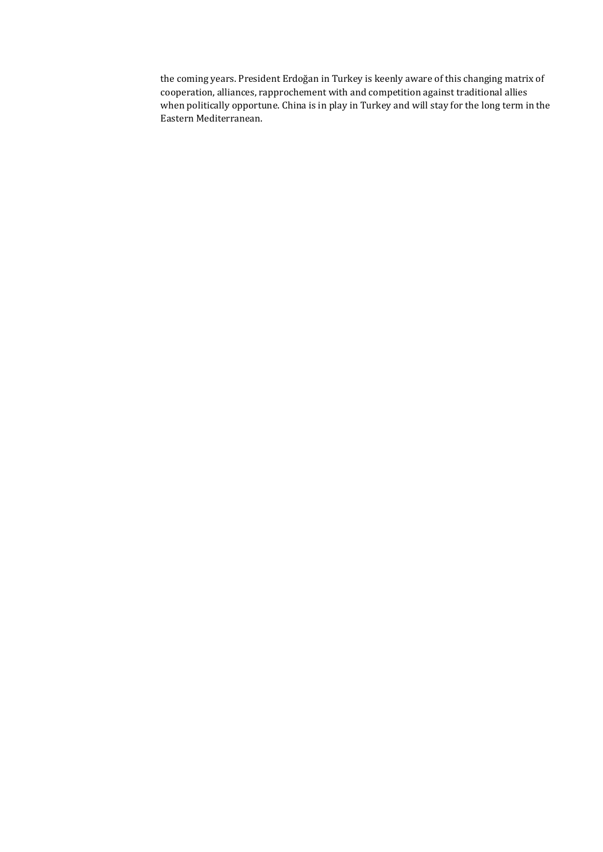the coming years. President Erdoğan in Turkey is keenly aware of this changing matrix of cooperation, alliances, rapprochement with and competition against traditional allies when politically opportune. China is in play in Turkey and will stay for the long term in the Eastern Mediterranean.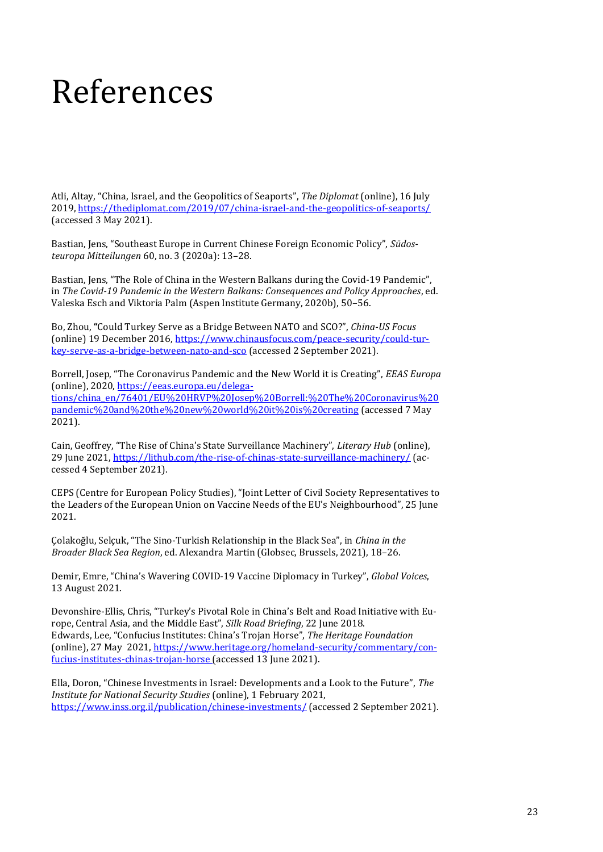#### <span id="page-22-0"></span>References

Atli, Altay, "China, Israel, and the Geopolitics of Seaports", *The Diplomat* (online), 16 July 2019[, https://thediplomat.com/2019/07/china-israel-and-the-geopolitics-of-seaports/](https://thediplomat.com/2019/07/china-israel-and-the-geopolitics-of-seaports/) (accessed 3 May 2021).

Bastian, Jens, "Southeast Europe in Current Chinese Foreign Economic Policy", *Südosteuropa Mitteilungen* 60, no. 3 (2020a): 13–28.

Bastian, Jens, "The Role of China in the Western Balkans during the Covid-19 Pandemic", in *The Covid-19 Pandemic in the Western Balkans: Consequences and Policy Approaches*, ed. Valeska Esch and Viktoria Palm (Aspen Institute Germany, 2020b), 50–56.

Bo, Zhou, **"**Could Turkey Serve as a Bridge Between NATO and SCO?", *China-US Focus* (online) 19 December 2016, [https://www.chinausfocus.com/peace-security/could-tur](https://www.chinausfocus.com/peace-security/could-turkey-serve-as-a-bridge-between-nato-and-sco)[key-serve-as-a-bridge-between-nato-and-sco](https://www.chinausfocus.com/peace-security/could-turkey-serve-as-a-bridge-between-nato-and-sco) (accessed 2 September 2021).

Borrell, Josep, "The Coronavirus Pandemic and the New World it is Creating", *EEAS Europa* (online), 2020, [https://eeas.europa.eu/delega](https://eeas.europa.eu/delegations/china_en/76401/EU%20HRVP%20Josep%20Borrell:%20The%20Coronavirus%20pandemic%20and%20the%20new%20world%20it%20is%20creating)[tions/china\\_en/76401/EU%20HRVP%20Josep%20Borrell:%20The%20Coronavirus%20](https://eeas.europa.eu/delegations/china_en/76401/EU%20HRVP%20Josep%20Borrell:%20The%20Coronavirus%20pandemic%20and%20the%20new%20world%20it%20is%20creating) [pandemic%20and%20the%20new%20world%20it%20is%20creating](https://eeas.europa.eu/delegations/china_en/76401/EU%20HRVP%20Josep%20Borrell:%20The%20Coronavirus%20pandemic%20and%20the%20new%20world%20it%20is%20creating) (accessed 7 May 2021).

Cain, Geoffrey, "The Rise of China's State Surveillance Machinery", *Literary Hub* (online), 29 June 2021,<https://lithub.com/the-rise-of-chinas-state-surveillance-machinery/> (accessed 4 September 2021).

CEPS (Centre for European Policy Studies), "Joint Letter of Civil Society Representatives to the Leaders of the European Union on Vaccine Needs of the EU's Neighbourhood", 25 June 2021.

Çolakoğlu, Selçuk, "The Sino-Turkish Relationship in the Black Sea", in *China in the Broader Black Sea Region*, ed. Alexandra Martin (Globsec, Brussels, 2021), 18–26.

Demir, Emre, "China's Wavering COVID-19 Vaccine Diplomacy in Turkey", *Global Voices*, 13 August 2021.

Devonshire-Ellis, Chris, "Turkey's Pivotal Role in China's Belt and Road Initiative with Europe, Central Asia, and the Middle East", *Silk Road Briefing*, 22 June 2018. Edwards, Lee, "Confucius Institutes: China's Trojan Horse", *The Heritage Foundation*  (online), 27 May 2021, [https://www.heritage.org/homeland-security/commentary/con](https://www.heritage.org/homeland-security/commentary/confucius-institutes-chinas-trojan-horse)[fucius-institutes-chinas-trojan-horse](https://www.heritage.org/homeland-security/commentary/confucius-institutes-chinas-trojan-horse) (accessed 13 June 2021).

Ella, Doron, "Chinese Investments in Israel: Developments and a Look to the Future", *The Institute for National Security Studies* (online), 1 February 2021, <https://www.inss.org.il/publication/chinese-investments/> (accessed 2 September 2021).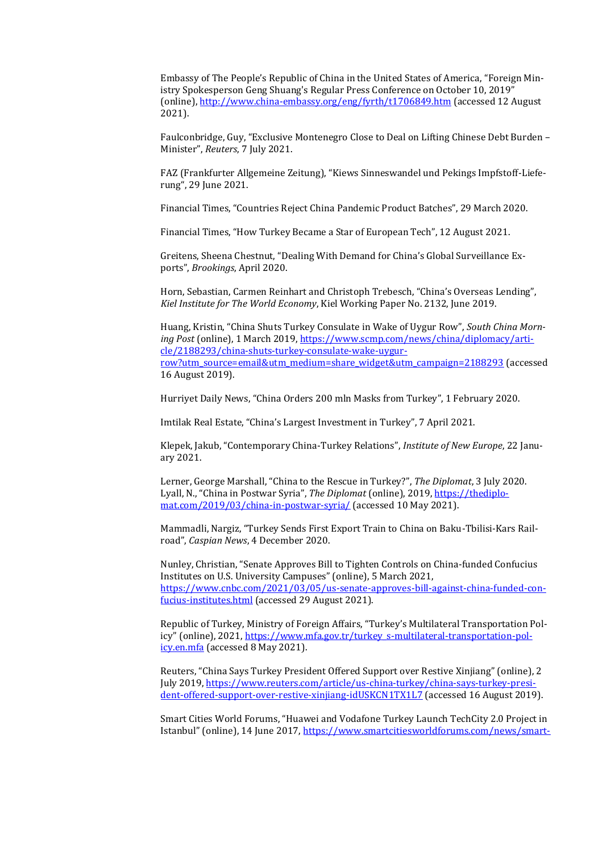Embassy of The People's Republic of China in the United States of America, "Foreign Ministry Spokesperson Geng Shuang's Regular Press Conference on October 10, 2019" (online)[, http://www.china-embassy.org/eng/fyrth/t1706849.htm](http://www.china-embassy.org/eng/fyrth/t1706849.htm) (accessed 12 August 2021).

Faulconbridge, Guy, "Exclusive Montenegro Close to Deal on Lifting Chinese Debt Burden – Minister", *Reuters*, 7 July 2021.

FAZ (Frankfurter Allgemeine Zeitung), "Kiews Sinneswandel und Pekings Impfstoff-Lieferung", 29 June 2021.

Financial Times, "Countries Reject China Pandemic Product Batches", 29 March 2020.

Financial Times, "How Turkey Became a Star of European Tech", 12 August 2021.

Greitens, Sheena Chestnut, "Dealing With Demand for China's Global Surveillance Exports", *Brookings*, April 2020.

Horn, Sebastian, Carmen Reinhart and Christoph Trebesch, "China's Overseas Lending", *Kiel Institute for The World Economy*, Kiel Working Paper No. 2132, June 2019.

Huang, Kristin, "China Shuts Turkey Consulate in Wake of Uygur Row", *South China Morning Post* (online), 1 March 2019[, https://www.scmp.com/news/china/diplomacy/arti](https://www.scmp.com/news/china/diplomacy/article/2188293/china-shuts-turkey-consulate-wake-uygur-row?utm_source=email&utm_medium=share_widget&utm_campaign=2188293)[cle/2188293/china-shuts-turkey-consulate-wake-uygur](https://www.scmp.com/news/china/diplomacy/article/2188293/china-shuts-turkey-consulate-wake-uygur-row?utm_source=email&utm_medium=share_widget&utm_campaign=2188293)[row?utm\\_source=email&utm\\_medium=share\\_widget&utm\\_campaign=2188293](https://www.scmp.com/news/china/diplomacy/article/2188293/china-shuts-turkey-consulate-wake-uygur-row?utm_source=email&utm_medium=share_widget&utm_campaign=2188293) (accessed 16 August 2019).

Hurriyet Daily News, "China Orders 200 mln Masks from Turkey", 1 February 2020.

Imtilak Real Estate, "China's Largest Investment in Turkey", 7 April 2021.

Klepek, Jakub, "Contemporary China-Turkey Relations", *Institute of New Europe*, 22 January 2021.

Lerner, George Marshall, "China to the Rescue in Turkey?", *The Diplomat*, 3 July 2020. Lyall, N., "China in Postwar Syria", *The Diplomat* (online), 2019, [https://thediplo](https://thediplomat.com/2019/03/china-in-postwar-syria/)[mat.com/2019/03/china-in-postwar-syria/](https://thediplomat.com/2019/03/china-in-postwar-syria/) (accessed 10 May 2021).

Mammadli, Nargiz, "Turkey Sends First Export Train to China on Baku-Tbilisi-Kars Railroad", *Caspian News*, 4 December 2020.

Nunley, Christian, "Senate Approves Bill to Tighten Controls on China-funded Confucius Institutes on U.S. University Campuses" (online), 5 March 2021, [https://www.cnbc.com/2021/03/05/us-senate-approves-bill-against-china-funded-con](https://www.cnbc.com/2021/03/05/us-senate-approves-bill-against-china-funded-confucius-institutes.html)[fucius-institutes.html](https://www.cnbc.com/2021/03/05/us-senate-approves-bill-against-china-funded-confucius-institutes.html) (accessed 29 August 2021).

Republic of Turkey, Ministry of Foreign Affairs, "Turkey's Multilateral Transportation Policy" (online), 2021, [https://www.mfa.gov.tr/turkey\\_s-multilateral-transportation-pol](https://www.mfa.gov.tr/turkey_s-multilateral-transportation-policy.en.mfa)[icy.en.mfa](https://www.mfa.gov.tr/turkey_s-multilateral-transportation-policy.en.mfa) (accessed 8 May 2021).

Reuters, "China Says Turkey President Offered Support over Restive Xinjiang" (online), 2 July 2019[, https://www.reuters.com/article/us-china-turkey/china-says-turkey-presi](https://www.reuters.com/article/us-china-turkey/china-says-turkey-president-offered-support-over-restive-xinjiang-idUSKCN1TX1L7)[dent-offered-support-over-restive-xinjiang-idUSKCN1TX1L7](https://www.reuters.com/article/us-china-turkey/china-says-turkey-president-offered-support-over-restive-xinjiang-idUSKCN1TX1L7) (accessed 16 August 2019).

Smart Cities World Forums, "Huawei and Vodafone Turkey Launch TechCity 2.0 Project in Istanbul" (online), 14 June 2017, [https://www.smartcitiesworldforums.com/news/smart-](https://www.smartcitiesworldforums.com/news/smart-cities-europe/smart-infrastructure-eu/329-huawei-and-vodafone-turkey-launch-techcity-2-0-project-in-istanbul)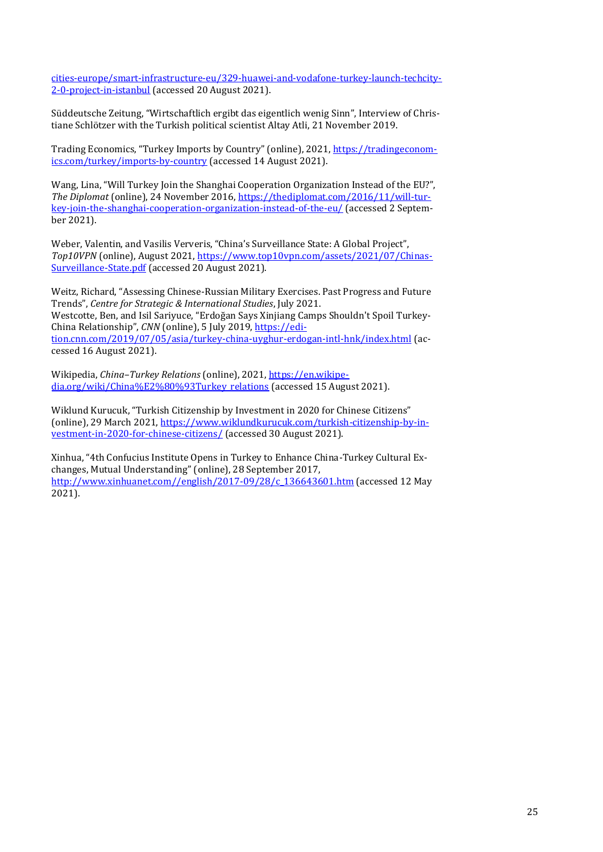[cities-europe/smart-infrastructure-eu/329-huawei-and-vodafone-turkey-launch-techcity-](https://www.smartcitiesworldforums.com/news/smart-cities-europe/smart-infrastructure-eu/329-huawei-and-vodafone-turkey-launch-techcity-2-0-project-in-istanbul)[2-0-project-in-istanbul](https://www.smartcitiesworldforums.com/news/smart-cities-europe/smart-infrastructure-eu/329-huawei-and-vodafone-turkey-launch-techcity-2-0-project-in-istanbul) (accessed 20 August 2021).

Süddeutsche Zeitung, "Wirtschaftlich ergibt das eigentlich wenig Sinn", Interview of Christiane Schlötzer with the Turkish political scientist Altay Atli, 21 November 2019.

Trading Economics, "Turkey Imports by Country" (online), 2021, [https://tradingeconom](https://tradingeconomics.com/turkey/imports-by-country)[ics.com/turkey/imports-by-country](https://tradingeconomics.com/turkey/imports-by-country) (accessed 14 August 2021).

Wang, Lina, "Will Turkey Join the Shanghai Cooperation Organization Instead of the EU?", *The Diplomat* (online), 24 November 2016, [https://thediplomat.com/2016/11/will-tur](https://thediplomat.com/2016/11/will-turkey-join-the-shanghai-cooperation-organization-instead-of-the-eu/)[key-join-the-shanghai-cooperation-organization-instead-of-the-eu/](https://thediplomat.com/2016/11/will-turkey-join-the-shanghai-cooperation-organization-instead-of-the-eu/) (accessed 2 September 2021).

Weber, Valentin, and Vasilis Ververis, "China's Surveillance State: A Global Project", *Top10VPN* (online), August 2021, [https://www.top10vpn.com/assets/2021/07/Chinas-](https://www.top10vpn.com/assets/2021/07/Chinas-Surveillance-State.pdf)[Surveillance-State.pdf](https://www.top10vpn.com/assets/2021/07/Chinas-Surveillance-State.pdf) (accessed 20 August 2021).

Weitz, Richard, "Assessing Chinese-Russian Military Exercises. Past Progress and Future Trends", *Centre for Strategic & International Studies*, July 2021. Westcotte, Ben, and Isil Sariyuce, "Erdoğan Says Xinjiang Camps Shouldn't Spoil Turkey-China Relationship", *CNN* (online), 5 July 2019, [https://edi](https://edition.cnn.com/2019/07/05/asia/turkey-china-uyghur-erdogan-intl-hnk/index.html)[tion.cnn.com/2019/07/05/asia/turkey-china-uyghur-erdogan-intl-hnk/index.html](https://edition.cnn.com/2019/07/05/asia/turkey-china-uyghur-erdogan-intl-hnk/index.html) (accessed 16 August 2021).

Wikipedia, *China–Turkey Relations* (online), 2021[, https://en.wikipe](https://en.wikipedia.org/wiki/China%E2%80%93Turkey_relations)[dia.org/wiki/China%E2%80%93Turkey\\_relations](https://en.wikipedia.org/wiki/China%E2%80%93Turkey_relations) (accessed 15 August 2021).

Wiklund Kurucuk, "Turkish Citizenship by Investment in 2020 for Chinese Citizens" (online), 29 March 2021, [https://www.wiklundkurucuk.com/turkish-citizenship-by-in](https://www.wiklundkurucuk.com/turkish-citizenship-by-investment-in-2020-for-chinese-citizens/)[vestment-in-2020-for-chinese-citizens/](https://www.wiklundkurucuk.com/turkish-citizenship-by-investment-in-2020-for-chinese-citizens/) (accessed 30 August 2021).

Xinhua, "4th Confucius Institute Opens in Turkey to Enhance China-Turkey Cultural Exchanges, Mutual Understanding" (online), 28 September 2017, [http://www.xinhuanet.com//english/2017-09/28/c\\_136643601.htm](http://www.xinhuanet.com/english/2017-09/28/c_136643601.htm) (accessed 12 May 2021).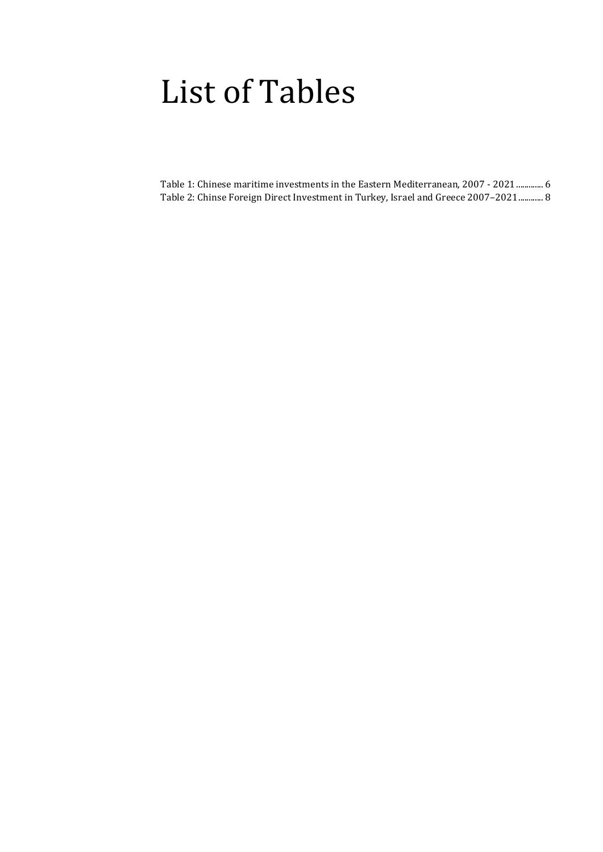#### <span id="page-25-0"></span>List of Tables

[Table 1: Chinese maritime investments in the Eastern Mediterranean, 2007 -](#page-5-0) 2021............. 6 [Table 2: Chinse Foreign Direct Investment in Turkey, Israel and Greece 2007](#page-7-1)–2021............ 8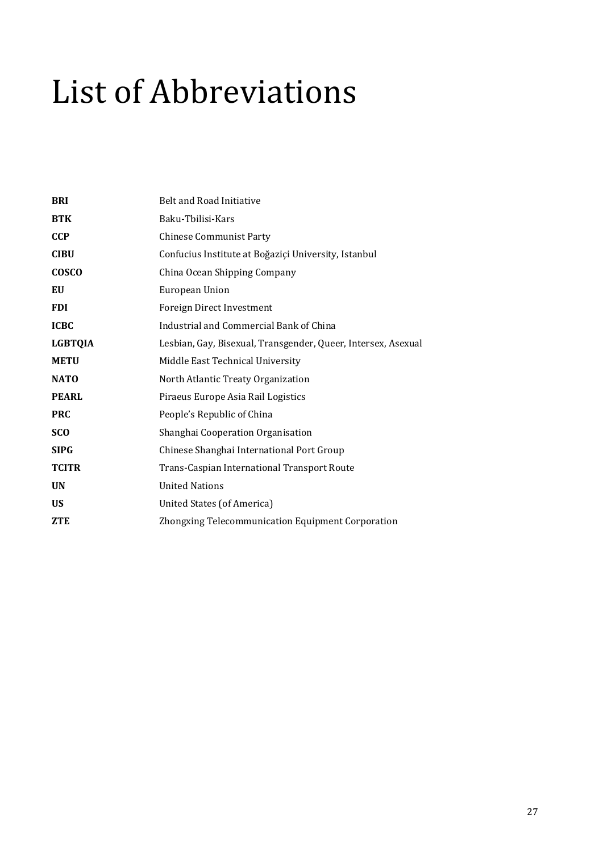# <span id="page-26-0"></span>List of Abbreviations

| <b>BRI</b>     | <b>Belt and Road Initiative</b>                               |
|----------------|---------------------------------------------------------------|
| <b>BTK</b>     | Baku-Tbilisi-Kars                                             |
| <b>CCP</b>     | <b>Chinese Communist Party</b>                                |
| <b>CIBU</b>    | Confucius Institute at Boğaziçi University, Istanbul          |
| <b>COSCO</b>   | China Ocean Shipping Company                                  |
| EU             | European Union                                                |
| <b>FDI</b>     | Foreign Direct Investment                                     |
| <b>ICBC</b>    | Industrial and Commercial Bank of China                       |
| <b>LGBTQIA</b> | Lesbian, Gay, Bisexual, Transgender, Queer, Intersex, Asexual |
| <b>METU</b>    | Middle East Technical University                              |
| <b>NATO</b>    | North Atlantic Treaty Organization                            |
| <b>PEARL</b>   | Piraeus Europe Asia Rail Logistics                            |
| <b>PRC</b>     | People's Republic of China                                    |
| <b>SCO</b>     | Shanghai Cooperation Organisation                             |
| <b>SIPG</b>    | Chinese Shanghai International Port Group                     |
| <b>TCITR</b>   | Trans-Caspian International Transport Route                   |
| <b>UN</b>      | <b>United Nations</b>                                         |
| <b>US</b>      | United States (of America)                                    |
| <b>ZTE</b>     | Zhongxing Telecommunication Equipment Corporation             |
|                |                                                               |